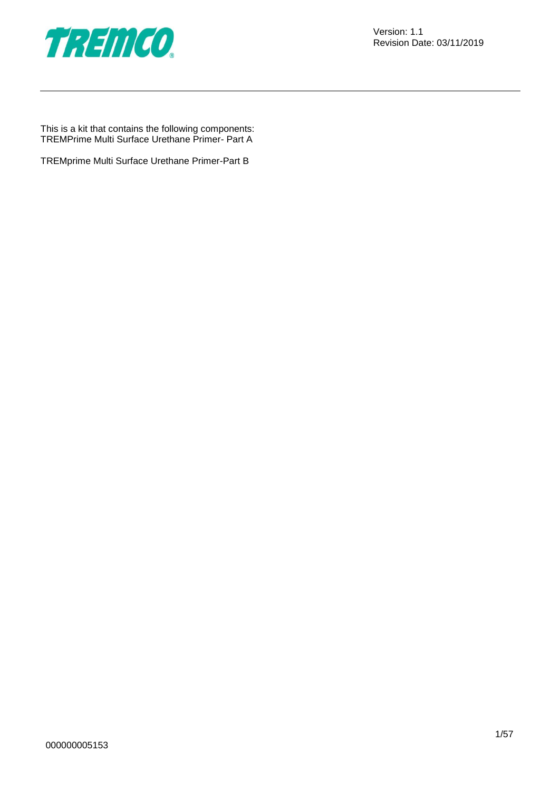

This is a kit that contains the following components: TREMPrime Multi Surface Urethane Primer- Part A

TREMprime Multi Surface Urethane Primer-Part B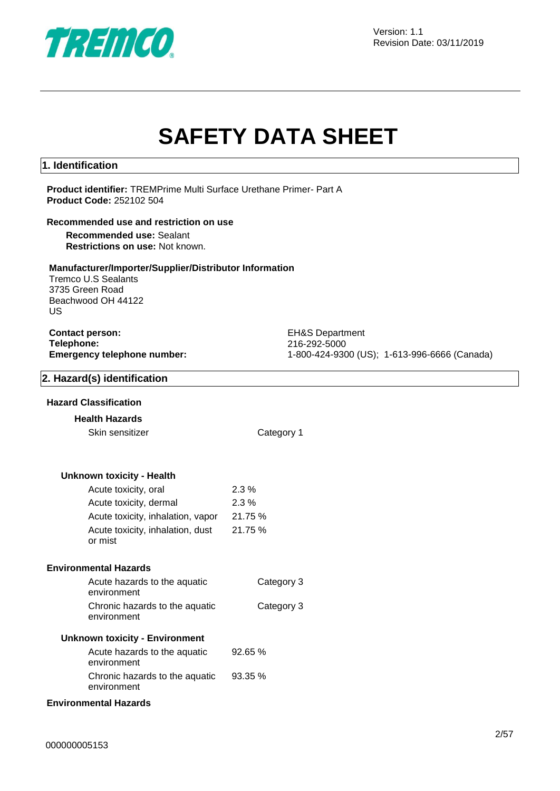

Version: 1.1 Revision Date: 03/11/2019

# **SAFETY DATA SHEET**

#### **1. Identification**

**Product identifier:** TREMPrime Multi Surface Urethane Primer- Part A **Product Code:** 252102 504

#### **Recommended use and restriction on use**

**Recommended use:** Sealant **Restrictions on use:** Not known.

#### **Manufacturer/Importer/Supplier/Distributor Information**

Tremco U.S Sealants 3735 Green Road Beachwood OH 44122 US

| <b>Contact person:</b>             |
|------------------------------------|
| Telephone:                         |
| <b>Emergency telephone number:</b> |

**EH&S Department Telephone:** 216-292-5000 **Emergency telephone number:** 1-800-424-9300 (US); 1-613-996-6666 (Canada)

#### **2. Hazard(s) identification**

#### **Hazard Classification**

#### **Health Hazards**

Skin sensitizer **Category 1** 

#### **Unknown toxicity - Health**

| Acute toxicity, oral                        | $2.3\%$ |
|---------------------------------------------|---------|
| Acute toxicity, dermal                      | $2.3\%$ |
| Acute toxicity, inhalation, vapor           | 21.75 % |
| Acute toxicity, inhalation, dust<br>or mist | 21.75 % |

#### **Environmental Hazards**

| Acute hazards to the aquatic   | Category 3 |
|--------------------------------|------------|
| environment                    |            |
| Chronic hazards to the aquatic | Category 3 |
| environment                    |            |

#### **Unknown toxicity - Environment**

| Acute hazards to the aquatic   | 92.65%  |
|--------------------------------|---------|
| environment                    |         |
| Chronic hazards to the aquatic | 93.35 % |
| environment                    |         |

#### **Environmental Hazards**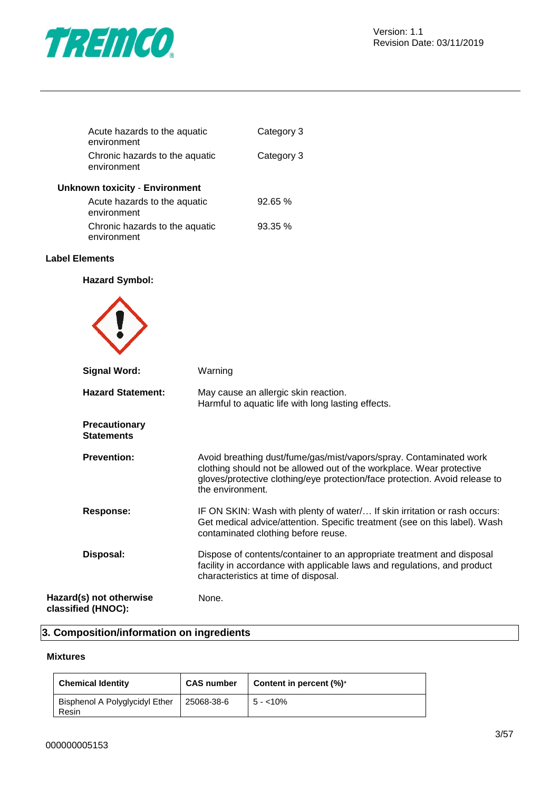

| Acute hazards to the aquatic<br>environment   | Category 3 |
|-----------------------------------------------|------------|
| Chronic hazards to the aquatic<br>environment | Category 3 |
| <b>Unknown toxicity - Environment</b>         |            |
| Acute hazards to the aquatic<br>environment   | 92.65%     |
| Chronic hazards to the aquatic<br>environment | $93.35 \%$ |

#### **Label Elements**

**Hazard Symbol:**



| <b>Signal Word:</b>                           | Warning                                                                                                                                                                                                                                       |
|-----------------------------------------------|-----------------------------------------------------------------------------------------------------------------------------------------------------------------------------------------------------------------------------------------------|
| <b>Hazard Statement:</b>                      | May cause an allergic skin reaction.<br>Harmful to aquatic life with long lasting effects.                                                                                                                                                    |
| <b>Precautionary</b><br><b>Statements</b>     |                                                                                                                                                                                                                                               |
| <b>Prevention:</b>                            | Avoid breathing dust/fume/gas/mist/vapors/spray. Contaminated work<br>clothing should not be allowed out of the workplace. Wear protective<br>gloves/protective clothing/eye protection/face protection. Avoid release to<br>the environment. |
| Response:                                     | IF ON SKIN: Wash with plenty of water If skin irritation or rash occurs:<br>Get medical advice/attention. Specific treatment (see on this label). Wash<br>contaminated clothing before reuse.                                                 |
| Disposal:                                     | Dispose of contents/container to an appropriate treatment and disposal<br>facility in accordance with applicable laws and regulations, and product<br>characteristics at time of disposal.                                                    |
| Hazard(s) not otherwise<br>classified (HNOC): | None.                                                                                                                                                                                                                                         |

## **3. Composition/information on ingredients**

#### **Mixtures**

| <b>Chemical Identity</b>                             | <b>CAS number</b> | Content in percent (%)* |
|------------------------------------------------------|-------------------|-------------------------|
| Bisphenol A Polyglycidyl Ether   25068-38-6<br>Resin |                   | 5 - <10%                |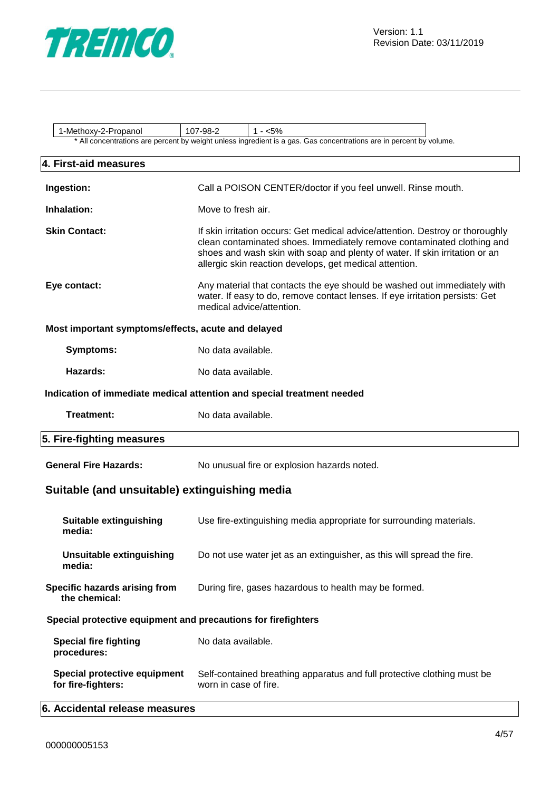

1-Methoxy-2-Propanol | 107-98-2 | 1 - <5% \* All concentrations are percent by weight unless ingredient is a gas. Gas concentrations are in percent by volume.

| 4. First-aid measures                                         |                                                                                                                                                                                                                                                                                                    |
|---------------------------------------------------------------|----------------------------------------------------------------------------------------------------------------------------------------------------------------------------------------------------------------------------------------------------------------------------------------------------|
| Ingestion:                                                    | Call a POISON CENTER/doctor if you feel unwell. Rinse mouth.                                                                                                                                                                                                                                       |
| Inhalation:                                                   | Move to fresh air.                                                                                                                                                                                                                                                                                 |
| <b>Skin Contact:</b>                                          | If skin irritation occurs: Get medical advice/attention. Destroy or thoroughly<br>clean contaminated shoes. Immediately remove contaminated clothing and<br>shoes and wash skin with soap and plenty of water. If skin irritation or an<br>allergic skin reaction develops, get medical attention. |
| Eye contact:                                                  | Any material that contacts the eye should be washed out immediately with<br>water. If easy to do, remove contact lenses. If eye irritation persists: Get<br>medical advice/attention.                                                                                                              |
| Most important symptoms/effects, acute and delayed            |                                                                                                                                                                                                                                                                                                    |
| <b>Symptoms:</b>                                              | No data available.                                                                                                                                                                                                                                                                                 |
| Hazards:                                                      | No data available.                                                                                                                                                                                                                                                                                 |
|                                                               | Indication of immediate medical attention and special treatment needed                                                                                                                                                                                                                             |
| <b>Treatment:</b>                                             | No data available.                                                                                                                                                                                                                                                                                 |
| 5. Fire-fighting measures                                     |                                                                                                                                                                                                                                                                                                    |
| <b>General Fire Hazards:</b>                                  | No unusual fire or explosion hazards noted.                                                                                                                                                                                                                                                        |
| Suitable (and unsuitable) extinguishing media                 |                                                                                                                                                                                                                                                                                                    |
| <b>Suitable extinguishing</b><br>media:                       | Use fire-extinguishing media appropriate for surrounding materials.                                                                                                                                                                                                                                |
| <b>Unsuitable extinguishing</b><br>media:                     | Do not use water jet as an extinguisher, as this will spread the fire.                                                                                                                                                                                                                             |
| Specific hazards arising from<br>the chemical:                | During fire, gases hazardous to health may be formed.                                                                                                                                                                                                                                              |
| Special protective equipment and precautions for firefighters |                                                                                                                                                                                                                                                                                                    |
| <b>Special fire fighting</b><br>procedures:                   | No data available.                                                                                                                                                                                                                                                                                 |
| Special protective equipment<br>for fire-fighters:            | Self-contained breathing apparatus and full protective clothing must be<br>worn in case of fire.                                                                                                                                                                                                   |
| 6. Accidental release measures                                |                                                                                                                                                                                                                                                                                                    |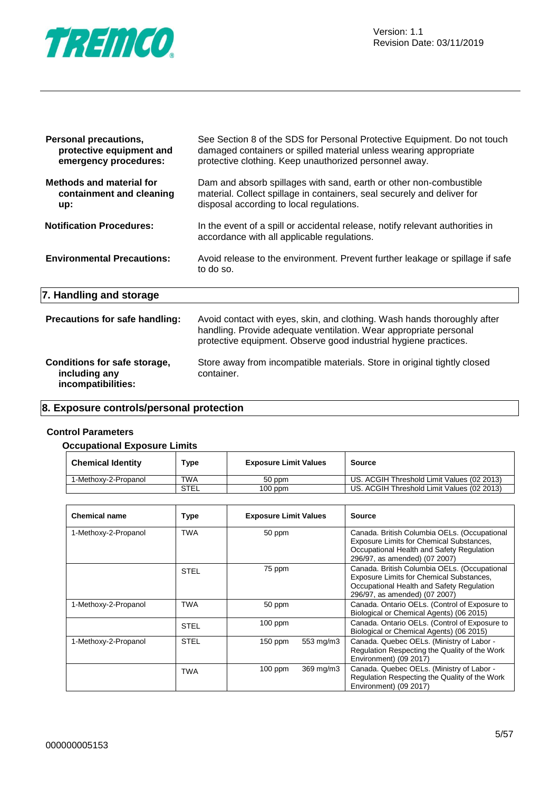

| <b>Personal precautions,</b><br>protective equipment and<br>emergency procedures: | See Section 8 of the SDS for Personal Protective Equipment. Do not touch<br>damaged containers or spilled material unless wearing appropriate<br>protective clothing. Keep unauthorized personnel away.           |
|-----------------------------------------------------------------------------------|-------------------------------------------------------------------------------------------------------------------------------------------------------------------------------------------------------------------|
| Methods and material for<br>containment and cleaning<br>up:                       | Dam and absorb spillages with sand, earth or other non-combustible<br>material. Collect spillage in containers, seal securely and deliver for<br>disposal according to local regulations.                         |
| <b>Notification Procedures:</b>                                                   | In the event of a spill or accidental release, notify relevant authorities in<br>accordance with all applicable regulations.                                                                                      |
| <b>Environmental Precautions:</b>                                                 | Avoid release to the environment. Prevent further leakage or spillage if safe<br>to do so.                                                                                                                        |
| 7. Handling and storage                                                           |                                                                                                                                                                                                                   |
| <b>Precautions for safe handling:</b>                                             | Avoid contact with eyes, skin, and clothing. Wash hands thoroughly after<br>handling. Provide adequate ventilation. Wear appropriate personal<br>protective equipment. Observe good industrial hygiene practices. |
| Conditions for safe storage,<br>including any<br>incompatibilities:               | Store away from incompatible materials. Store in original tightly closed<br>container.                                                                                                                            |

## **8. Exposure controls/personal protection**

## **Control Parameters**

#### **Occupational Exposure Limits**

| <b>Chemical Identity</b> | Type | <b>Exposure Limit Values</b> | Source                                     |
|--------------------------|------|------------------------------|--------------------------------------------|
| 1-Methoxy-2-Propanol     | TWA  | 50 ppm                       | US. ACGIH Threshold Limit Values (02 2013) |
|                          | STEL | $100$ ppm                    | US. ACGIH Threshold Limit Values (02 2013) |

| <b>Chemical name</b> | Type        | <b>Exposure Limit Values</b> |           | <b>Source</b>                                                                                                                                                          |
|----------------------|-------------|------------------------------|-----------|------------------------------------------------------------------------------------------------------------------------------------------------------------------------|
| 1-Methoxy-2-Propanol | <b>TWA</b>  | 50 ppm                       |           | Canada. British Columbia OELs. (Occupational<br>Exposure Limits for Chemical Substances,<br>Occupational Health and Safety Regulation<br>296/97, as amended) (07 2007) |
|                      | <b>STEL</b> | 75 ppm                       |           | Canada. British Columbia OELs. (Occupational<br>Exposure Limits for Chemical Substances,<br>Occupational Health and Safety Regulation<br>296/97, as amended) (07 2007) |
| 1-Methoxy-2-Propanol | <b>TWA</b>  | 50 ppm                       |           | Canada. Ontario OELs. (Control of Exposure to<br>Biological or Chemical Agents) (06 2015)                                                                              |
|                      | <b>STEL</b> | $100$ ppm                    |           | Canada. Ontario OELs. (Control of Exposure to<br>Biological or Chemical Agents) (06 2015)                                                                              |
| 1-Methoxy-2-Propanol | <b>STEL</b> | $150$ ppm                    | 553 mg/m3 | Canada. Quebec OELs. (Ministry of Labor -<br>Regulation Respecting the Quality of the Work<br>Environment) (09 2017)                                                   |
|                      | <b>TWA</b>  | $100$ ppm                    | 369 mg/m3 | Canada. Quebec OELs. (Ministry of Labor -<br>Regulation Respecting the Quality of the Work<br>Environment) (09 2017)                                                   |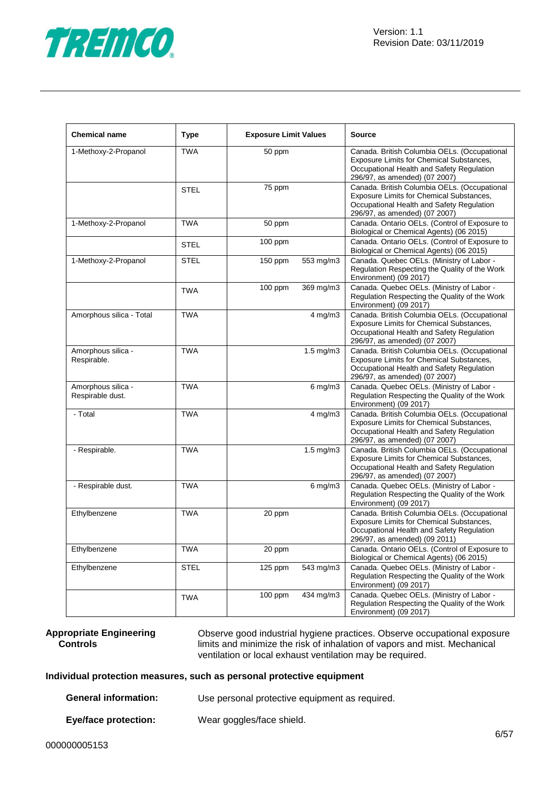

| <b>Chemical name</b>                   | <b>Type</b> | <b>Exposure Limit Values</b> |                | <b>Source</b>                                                                                                                                                          |
|----------------------------------------|-------------|------------------------------|----------------|------------------------------------------------------------------------------------------------------------------------------------------------------------------------|
| 1-Methoxy-2-Propanol                   | <b>TWA</b>  | 50 ppm                       |                | Canada. British Columbia OELs. (Occupational<br>Exposure Limits for Chemical Substances,<br>Occupational Health and Safety Regulation<br>296/97, as amended) (07 2007) |
|                                        | <b>STEL</b> | 75 ppm                       |                | Canada. British Columbia OELs. (Occupational<br>Exposure Limits for Chemical Substances,<br>Occupational Health and Safety Regulation<br>296/97, as amended) (07 2007) |
| 1-Methoxy-2-Propanol                   | <b>TWA</b>  | 50 ppm                       |                | Canada. Ontario OELs. (Control of Exposure to<br>Biological or Chemical Agents) (06 2015)                                                                              |
|                                        | <b>STEL</b> | 100 ppm                      |                | Canada. Ontario OELs. (Control of Exposure to<br>Biological or Chemical Agents) (06 2015)                                                                              |
| 1-Methoxy-2-Propanol                   | <b>STEL</b> | 150 ppm                      | 553 mg/m3      | Canada. Quebec OELs. (Ministry of Labor -<br>Regulation Respecting the Quality of the Work<br>Environment) (09 2017)                                                   |
|                                        | <b>TWA</b>  | 100 ppm                      | 369 mg/m3      | Canada. Quebec OELs. (Ministry of Labor -<br>Regulation Respecting the Quality of the Work<br>Environment) (09 2017)                                                   |
| Amorphous silica - Total               | <b>TWA</b>  |                              | $4$ mg/m $3$   | Canada. British Columbia OELs. (Occupational<br>Exposure Limits for Chemical Substances,<br>Occupational Health and Safety Regulation<br>296/97, as amended) (07 2007) |
| Amorphous silica -<br>Respirable.      | <b>TWA</b>  |                              | $1.5$ mg/m $3$ | Canada. British Columbia OELs. (Occupational<br>Exposure Limits for Chemical Substances,<br>Occupational Health and Safety Regulation<br>296/97, as amended) (07 2007) |
| Amorphous silica -<br>Respirable dust. | <b>TWA</b>  |                              | $6$ mg/m $3$   | Canada. Quebec OELs. (Ministry of Labor -<br>Regulation Respecting the Quality of the Work<br>Environment) (09 2017)                                                   |
| - Total                                | <b>TWA</b>  |                              | $4$ mg/m $3$   | Canada. British Columbia OELs. (Occupational<br>Exposure Limits for Chemical Substances,<br>Occupational Health and Safety Regulation<br>296/97, as amended) (07 2007) |
| - Respirable.                          | <b>TWA</b>  |                              | $1.5$ mg/m $3$ | Canada. British Columbia OELs. (Occupational<br>Exposure Limits for Chemical Substances,<br>Occupational Health and Safety Regulation<br>296/97, as amended) (07 2007) |
| - Respirable dust.                     | <b>TWA</b>  |                              | $6$ mg/m $3$   | Canada. Quebec OELs. (Ministry of Labor -<br>Regulation Respecting the Quality of the Work<br>Environment) (09 2017)                                                   |
| Ethylbenzene                           | <b>TWA</b>  | 20 ppm                       |                | Canada. British Columbia OELs. (Occupational<br>Exposure Limits for Chemical Substances,<br>Occupational Health and Safety Regulation<br>296/97, as amended) (09 2011) |
| Ethylbenzene                           | <b>TWA</b>  | 20 ppm                       |                | Canada. Ontario OELs. (Control of Exposure to<br>Biological or Chemical Agents) (06 2015)                                                                              |
| Ethylbenzene                           | <b>STEL</b> | $125$ ppm                    | 543 mg/m3      | Canada. Quebec OELs. (Ministry of Labor -<br>Regulation Respecting the Quality of the Work<br>Environment) (09 2017)                                                   |
|                                        | <b>TWA</b>  | $100$ ppm                    | 434 mg/m3      | Canada. Quebec OELs. (Ministry of Labor -<br>Regulation Respecting the Quality of the Work<br>Environment) (09 2017)                                                   |

#### **Appropriate Engineering Controls**

Observe good industrial hygiene practices. Observe occupational exposure limits and minimize the risk of inhalation of vapors and mist. Mechanical ventilation or local exhaust ventilation may be required.

#### **Individual protection measures, such as personal protective equipment**

**General information:** Use personal protective equipment as required.

**Eye/face protection:** Wear goggles/face shield.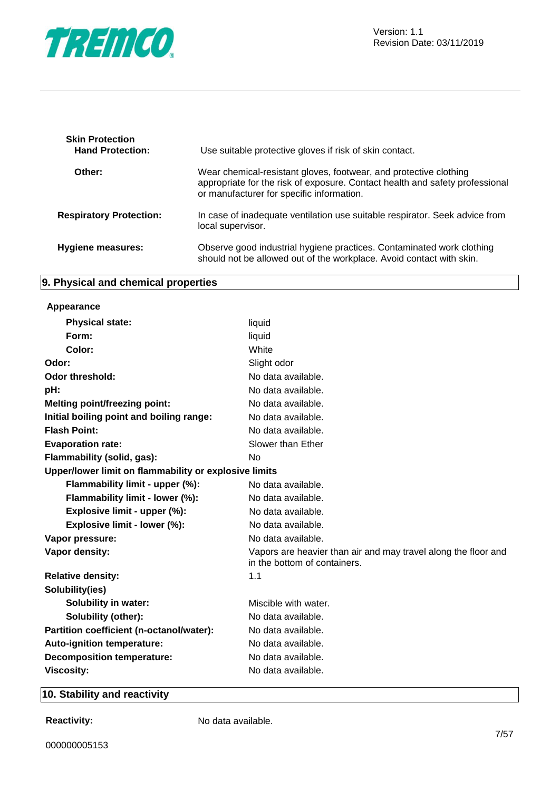

| <b>Skin Protection</b><br><b>Hand Protection:</b> | Use suitable protective gloves if risk of skin contact.                                                                                                                                        |
|---------------------------------------------------|------------------------------------------------------------------------------------------------------------------------------------------------------------------------------------------------|
| Other:                                            | Wear chemical-resistant gloves, footwear, and protective clothing<br>appropriate for the risk of exposure. Contact health and safety professional<br>or manufacturer for specific information. |
| <b>Respiratory Protection:</b>                    | In case of inadequate ventilation use suitable respirator. Seek advice from<br>local supervisor.                                                                                               |
| Hygiene measures:                                 | Observe good industrial hygiene practices. Contaminated work clothing<br>should not be allowed out of the workplace. Avoid contact with skin.                                                  |

## **9. Physical and chemical properties**

#### **Appearance**

| <b>Physical state:</b>                                | liquid                                                                                         |
|-------------------------------------------------------|------------------------------------------------------------------------------------------------|
| Form:                                                 | liquid                                                                                         |
| Color:                                                | White                                                                                          |
| Odor:                                                 | Slight odor                                                                                    |
| <b>Odor threshold:</b>                                | No data available.                                                                             |
| pH:                                                   | No data available.                                                                             |
| <b>Melting point/freezing point:</b>                  | No data available.                                                                             |
| Initial boiling point and boiling range:              | No data available.                                                                             |
| <b>Flash Point:</b>                                   | No data available.                                                                             |
| <b>Evaporation rate:</b>                              | Slower than Ether                                                                              |
| Flammability (solid, gas):                            | No.                                                                                            |
| Upper/lower limit on flammability or explosive limits |                                                                                                |
| Flammability limit - upper (%):                       | No data available.                                                                             |
| Flammability limit - lower (%):                       | No data available.                                                                             |
| Explosive limit - upper (%):                          | No data available.                                                                             |
| Explosive limit - lower (%):                          | No data available.                                                                             |
| Vapor pressure:                                       | No data available.                                                                             |
| Vapor density:                                        | Vapors are heavier than air and may travel along the floor and<br>in the bottom of containers. |
| <b>Relative density:</b>                              | 1.1                                                                                            |
| Solubility(ies)                                       |                                                                                                |
| <b>Solubility in water:</b>                           | Miscible with water.                                                                           |
| Solubility (other):                                   | No data available.                                                                             |
| Partition coefficient (n-octanol/water):              | No data available.                                                                             |
| Auto-ignition temperature:                            | No data available.                                                                             |
| <b>Decomposition temperature:</b>                     | No data available.                                                                             |
| <b>Viscosity:</b>                                     | No data available.                                                                             |
|                                                       |                                                                                                |

## **10. Stability and reactivity**

**Reactivity:** No data available.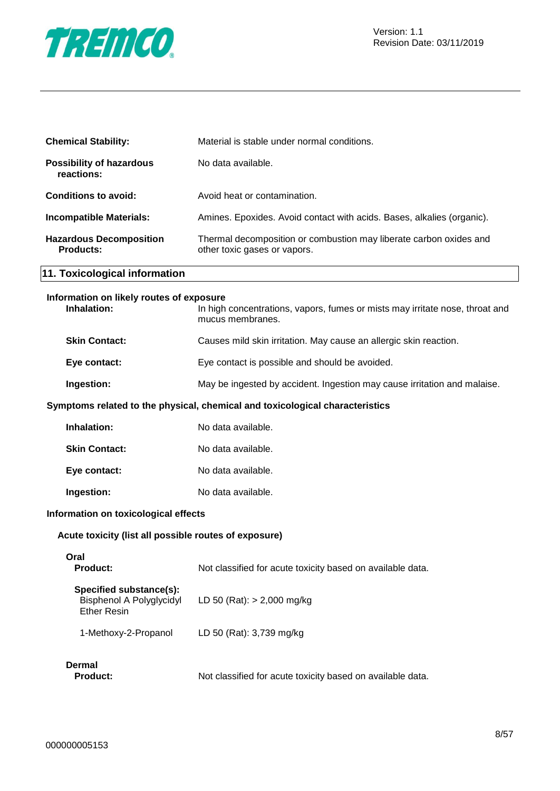

| <b>Chemical Stability:</b>                         | Material is stable under normal conditions.                                                        |  |
|----------------------------------------------------|----------------------------------------------------------------------------------------------------|--|
| <b>Possibility of hazardous</b><br>reactions:      | No data available.                                                                                 |  |
| <b>Conditions to avoid:</b>                        | Avoid heat or contamination.                                                                       |  |
| <b>Incompatible Materials:</b>                     | Amines. Epoxides. Avoid contact with acids. Bases, alkalies (organic).                             |  |
| <b>Hazardous Decomposition</b><br><b>Products:</b> | Thermal decomposition or combustion may liberate carbon oxides and<br>other toxic gases or vapors. |  |

## **11. Toxicological information**

## **Information on likely routes of exposure**

| Inhalation:          | In high concentrations, vapors, fumes or mists may irritate nose, throat and<br>mucus membranes. |
|----------------------|--------------------------------------------------------------------------------------------------|
| <b>Skin Contact:</b> | Causes mild skin irritation. May cause an allergic skin reaction.                                |
| Eye contact:         | Eye contact is possible and should be avoided.                                                   |
| Ingestion:           | May be ingested by accident. Ingestion may cause irritation and malaise.                         |

#### **Symptoms related to the physical, chemical and toxicological characteristics**

| Inhalation:          | No data available. |
|----------------------|--------------------|
| <b>Skin Contact:</b> | No data available. |
| Eye contact:         | No data available. |
| Ingestion:           | No data available. |

#### **Information on toxicological effects**

#### **Acute toxicity (list all possible routes of exposure)**

| Oral<br><b>Product:</b>                                                   | Not classified for acute toxicity based on available data. |
|---------------------------------------------------------------------------|------------------------------------------------------------|
| Specified substance(s):<br>Bisphenol A Polyglycidyl<br><b>Ether Resin</b> | LD 50 (Rat): $> 2,000$ mg/kg                               |
| 1-Methoxy-2-Propanol                                                      | LD 50 (Rat): 3,739 mg/kg                                   |
| Dermal<br><b>Product:</b>                                                 | Not classified for acute toxicity based on available data. |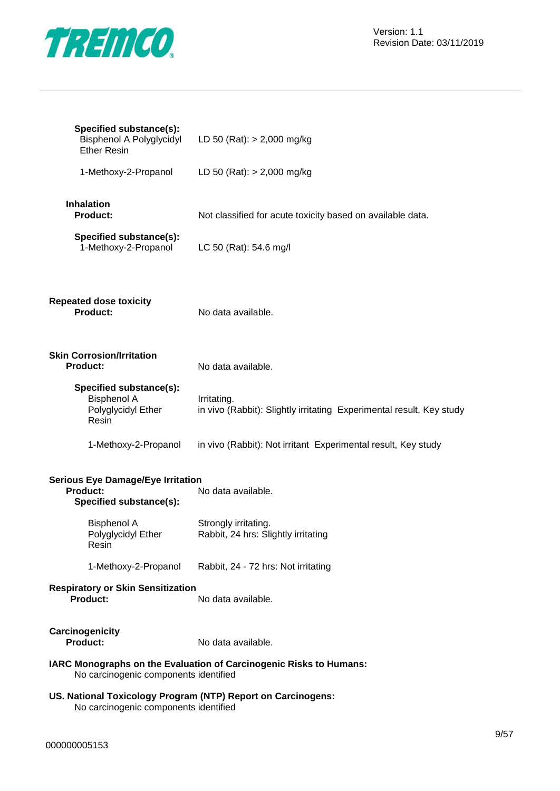

| Specified substance(s):<br><b>Bisphenol A Polyglycidyl</b><br><b>Ether Resin</b>                      | LD 50 (Rat): $> 2,000$ mg/kg                                                        |
|-------------------------------------------------------------------------------------------------------|-------------------------------------------------------------------------------------|
| 1-Methoxy-2-Propanol                                                                                  | LD 50 (Rat): > 2,000 mg/kg                                                          |
| <b>Inhalation</b><br><b>Product:</b>                                                                  | Not classified for acute toxicity based on available data.                          |
| Specified substance(s):<br>1-Methoxy-2-Propanol                                                       | LC 50 (Rat): 54.6 mg/l                                                              |
| <b>Repeated dose toxicity</b><br>Product:                                                             | No data available.                                                                  |
| <b>Skin Corrosion/Irritation</b><br><b>Product:</b>                                                   | No data available.                                                                  |
| Specified substance(s):<br><b>Bisphenol A</b><br>Polyglycidyl Ether<br>Resin                          | Irritating.<br>in vivo (Rabbit): Slightly irritating Experimental result, Key study |
| 1-Methoxy-2-Propanol                                                                                  | in vivo (Rabbit): Not irritant Experimental result, Key study                       |
| <b>Serious Eye Damage/Eye Irritation</b><br><b>Product:</b><br>Specified substance(s):                | No data available.                                                                  |
| <b>Bisphenol A</b><br>Polyglycidyl Ether<br>Resin                                                     | Strongly irritating.<br>Rabbit, 24 hrs: Slightly irritating                         |
| 1-Methoxy-2-Propanol                                                                                  | Rabbit, 24 - 72 hrs: Not irritating                                                 |
| <b>Respiratory or Skin Sensitization</b><br>Product:                                                  | No data available.                                                                  |
| Carcinogenicity<br><b>Product:</b>                                                                    | No data available.                                                                  |
| No carcinogenic components identified                                                                 | IARC Monographs on the Evaluation of Carcinogenic Risks to Humans:                  |
| US. National Toxicology Program (NTP) Report on Carcinogens:<br>No carcinogenic components identified |                                                                                     |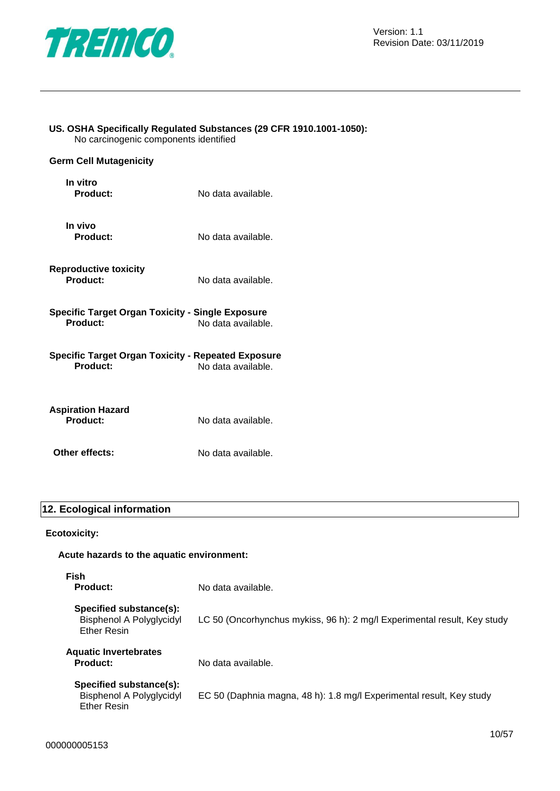

## **US. OSHA Specifically Regulated Substances (29 CFR 1910.1001-1050):**

No carcinogenic components identified

## **Germ Cell Mutagenicity**

| In vitro<br><b>Product:</b>                                                  | No data available. |
|------------------------------------------------------------------------------|--------------------|
| In vivo<br><b>Product:</b>                                                   | No data available. |
| <b>Reproductive toxicity</b><br>Product:                                     | No data available. |
| Specific Target Organ Toxicity - Single Exposure<br>Product:                 | No data available. |
| <b>Specific Target Organ Toxicity - Repeated Exposure</b><br><b>Product:</b> | No data available. |
| <b>Aspiration Hazard</b>                                                     |                    |

| <b>Product:</b> | No data available. |
|-----------------|--------------------|
|                 |                    |

**Other effects:** No data available.

### **12. Ecological information**

### **Ecotoxicity:**

| uuluaiuily.                                                                      |                                                                          |
|----------------------------------------------------------------------------------|--------------------------------------------------------------------------|
| Acute hazards to the aquatic environment:                                        |                                                                          |
| Fish<br><b>Product:</b>                                                          | No data available.                                                       |
| Specified substance(s):<br><b>Bisphenol A Polyglycidyl</b><br><b>Ether Resin</b> | LC 50 (Oncorhynchus mykiss, 96 h): 2 mg/l Experimental result, Key study |
| <b>Aquatic Invertebrates</b><br><b>Product:</b>                                  | No data available.                                                       |
| Specified substance(s):<br>Bisphenol A Polyglycidyl<br><b>Ether Resin</b>        | EC 50 (Daphnia magna, 48 h): 1.8 mg/l Experimental result, Key study     |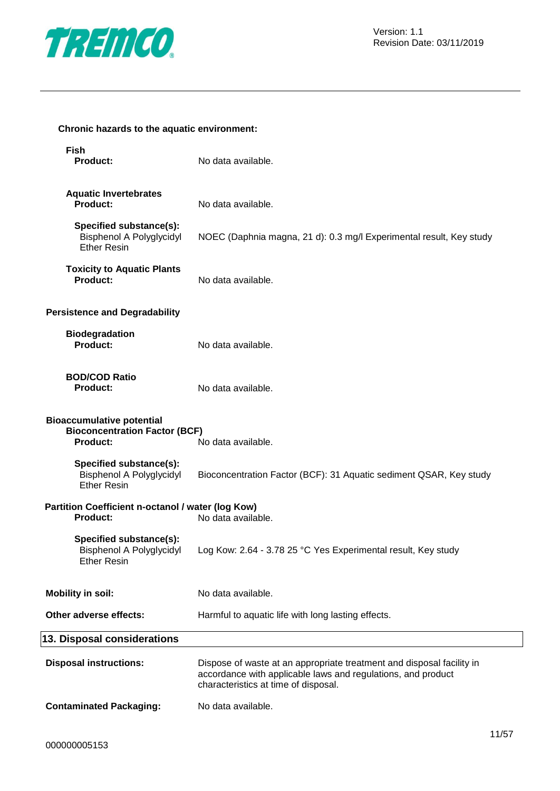

## **Chronic hazards to the aquatic environment:**

| Fish<br><b>Product:</b>                                                                                           | No data available.                                                                                                                                                            |  |
|-------------------------------------------------------------------------------------------------------------------|-------------------------------------------------------------------------------------------------------------------------------------------------------------------------------|--|
| <b>Aquatic Invertebrates</b><br><b>Product:</b>                                                                   | No data available.                                                                                                                                                            |  |
| Specified substance(s):<br>Bisphenol A Polyglycidyl<br><b>Ether Resin</b>                                         | NOEC (Daphnia magna, 21 d): 0.3 mg/l Experimental result, Key study                                                                                                           |  |
| <b>Toxicity to Aquatic Plants</b><br><b>Product:</b>                                                              | No data available.                                                                                                                                                            |  |
| <b>Persistence and Degradability</b>                                                                              |                                                                                                                                                                               |  |
| <b>Biodegradation</b><br><b>Product:</b>                                                                          | No data available.                                                                                                                                                            |  |
| <b>BOD/COD Ratio</b><br>Product:                                                                                  | No data available.                                                                                                                                                            |  |
| <b>Bioaccumulative potential</b><br><b>Bioconcentration Factor (BCF)</b><br><b>Product:</b><br>No data available. |                                                                                                                                                                               |  |
| Specified substance(s):<br><b>Bisphenol A Polyglycidyl</b><br><b>Ether Resin</b>                                  | Bioconcentration Factor (BCF): 31 Aquatic sediment QSAR, Key study                                                                                                            |  |
| Partition Coefficient n-octanol / water (log Kow)<br><b>Product:</b>                                              | No data available.                                                                                                                                                            |  |
| Specified substance(s):<br>Bisphenol A Polyglycidyl<br>Ether Resin                                                | Log Kow: 2.64 - 3.78 25 °C Yes Experimental result, Key study                                                                                                                 |  |
| <b>Mobility in soil:</b>                                                                                          | No data available.                                                                                                                                                            |  |
| Other adverse effects:                                                                                            | Harmful to aquatic life with long lasting effects.                                                                                                                            |  |
| 13. Disposal considerations                                                                                       |                                                                                                                                                                               |  |
| <b>Disposal instructions:</b>                                                                                     | Dispose of waste at an appropriate treatment and disposal facility in<br>accordance with applicable laws and regulations, and product<br>characteristics at time of disposal. |  |
| <b>Contaminated Packaging:</b>                                                                                    | No data available.                                                                                                                                                            |  |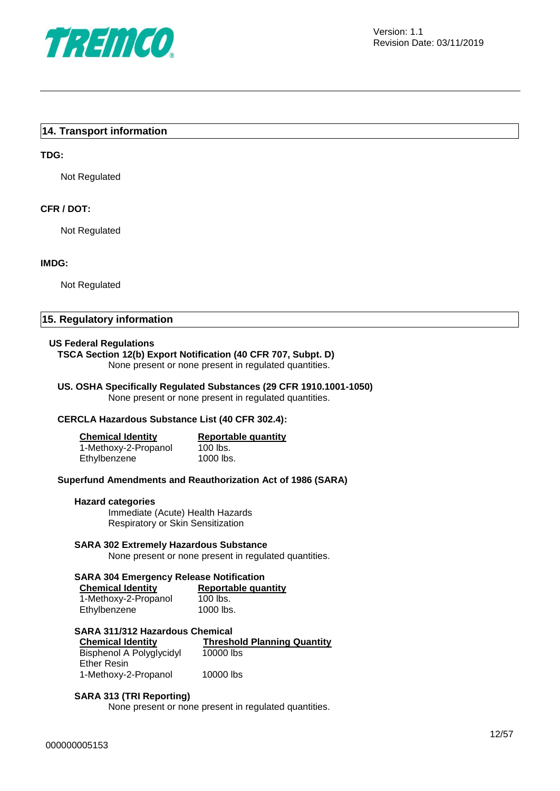

#### **14. Transport information**

#### **TDG:**

Not Regulated

#### **CFR / DOT:**

Not Regulated

#### **IMDG:**

Not Regulated

#### **15. Regulatory information**

#### **US Federal Regulations**

## **TSCA Section 12(b) Export Notification (40 CFR 707, Subpt. D)**

None present or none present in regulated quantities.

#### **US. OSHA Specifically Regulated Substances (29 CFR 1910.1001-1050)** None present or none present in regulated quantities.

#### **CERCLA Hazardous Substance List (40 CFR 302.4):**

| <b>Chemical Identity</b> | Reportable quantity |
|--------------------------|---------------------|
| 1-Methoxy-2-Propanol     | 100 lbs.            |
| Ethylbenzene             | 1000 lbs.           |

#### **Superfund Amendments and Reauthorization Act of 1986 (SARA)**

#### **Hazard categories**

Immediate (Acute) Health Hazards Respiratory or Skin Sensitization

#### **SARA 302 Extremely Hazardous Substance**

None present or none present in regulated quantities.

#### **SARA 304 Emergency Release Notification**

| <b>Chemical Identity</b> | <b>Reportable quantity</b> |
|--------------------------|----------------------------|
| 1-Methoxy-2-Propanol     | $100$ lbs.                 |
| Ethylbenzene             | 1000 lbs.                  |

**SARA 311/312 Hazardous Chemical Threshold Planning Quantity** Bisphenol A Polyglycidyl Ether Resin 10000 lbs 1-Methoxy-2-Propanol 10000 lbs

#### **SARA 313 (TRI Reporting)**

None present or none present in regulated quantities.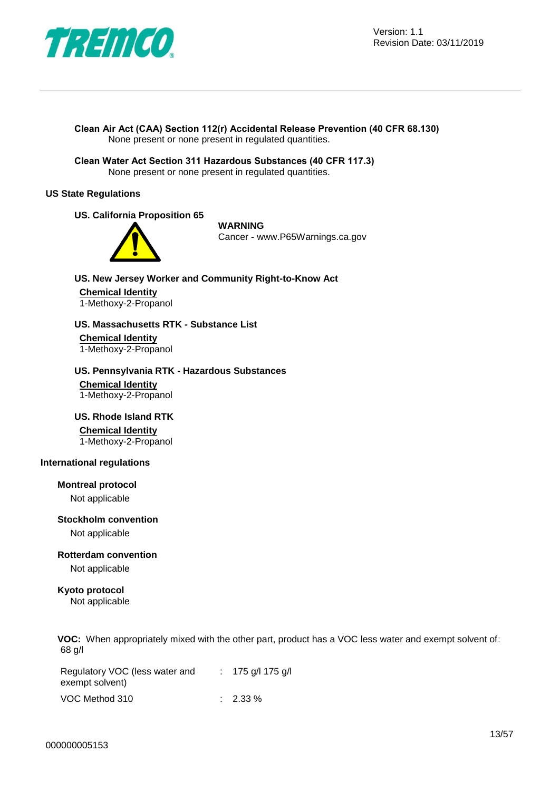

Version: 1.1 Revision Date: 03/11/2019

**Clean Air Act (CAA) Section 112(r) Accidental Release Prevention (40 CFR 68.130)** None present or none present in regulated quantities.

**Clean Water Act Section 311 Hazardous Substances (40 CFR 117.3)** None present or none present in regulated quantities.

#### **US State Regulations**

#### **US. California Proposition 65**



#### **WARNING**

Cancer - www.P65Warnings.ca.gov

**US. New Jersey Worker and Community Right-to-Know Act Chemical Identity** 1-Methoxy-2-Propanol

**US. Massachusetts RTK - Substance List Chemical Identity** 1-Methoxy-2-Propanol

**US. Pennsylvania RTK - Hazardous Substances Chemical Identity** 1-Methoxy-2-Propanol

**US. Rhode Island RTK Chemical Identity**

1-Methoxy-2-Propanol

#### **International regulations**

#### **Montreal protocol**

Not applicable

## **Stockholm convention**

Not applicable

#### **Rotterdam convention**

Not applicable

#### **Kyoto protocol** Not applicable

**VOC:** When appropriately mixed with the other part, product has a VOC less water and exempt solvent of: 68 g/l

| Regulatory VOC (less water and<br>exempt solvent) | : 175 g/l 175 g/l   |
|---------------------------------------------------|---------------------|
| VOC Method 310                                    | $\therefore$ 2.33 % |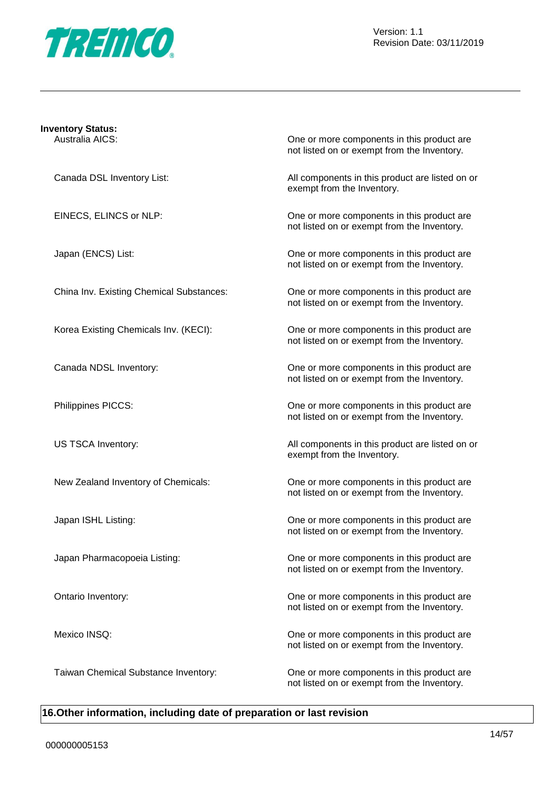

| <b>Inventory Status:</b><br>Australia AICS: | One or more components in this product are<br>not listed on or exempt from the Inventory. |
|---------------------------------------------|-------------------------------------------------------------------------------------------|
| Canada DSL Inventory List:                  | All components in this product are listed on or<br>exempt from the Inventory.             |
| EINECS, ELINCS or NLP:                      | One or more components in this product are<br>not listed on or exempt from the Inventory. |
| Japan (ENCS) List:                          | One or more components in this product are<br>not listed on or exempt from the Inventory. |
| China Inv. Existing Chemical Substances:    | One or more components in this product are<br>not listed on or exempt from the Inventory. |
| Korea Existing Chemicals Inv. (KECI):       | One or more components in this product are<br>not listed on or exempt from the Inventory. |
| Canada NDSL Inventory:                      | One or more components in this product are<br>not listed on or exempt from the Inventory. |
| Philippines PICCS:                          | One or more components in this product are<br>not listed on or exempt from the Inventory. |
| US TSCA Inventory:                          | All components in this product are listed on or<br>exempt from the Inventory.             |
| New Zealand Inventory of Chemicals:         | One or more components in this product are<br>not listed on or exempt from the Inventory. |
| Japan ISHL Listing:                         | One or more components in this product are<br>not listed on or exempt from the Inventory. |
| Japan Pharmacopoeia Listing:                | One or more components in this product are<br>not listed on or exempt from the Inventory. |
| Ontario Inventory:                          | One or more components in this product are<br>not listed on or exempt from the Inventory. |
| Mexico INSQ:                                | One or more components in this product are<br>not listed on or exempt from the Inventory. |
| Taiwan Chemical Substance Inventory:        | One or more components in this product are<br>not listed on or exempt from the Inventory. |

## **16.Other information, including date of preparation or last revision**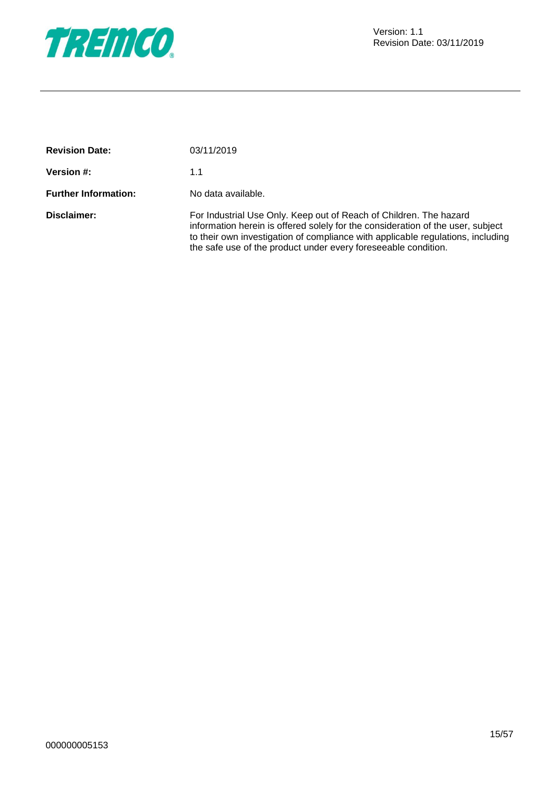

| <b>Revision Date:</b>       | 03/11/2019                                                                                                                                                                                                                                                                                                 |
|-----------------------------|------------------------------------------------------------------------------------------------------------------------------------------------------------------------------------------------------------------------------------------------------------------------------------------------------------|
| <b>Version #:</b>           | 1.1                                                                                                                                                                                                                                                                                                        |
| <b>Further Information:</b> | No data available.                                                                                                                                                                                                                                                                                         |
| Disclaimer:                 | For Industrial Use Only. Keep out of Reach of Children. The hazard<br>information herein is offered solely for the consideration of the user, subject<br>to their own investigation of compliance with applicable regulations, including<br>the safe use of the product under every foreseeable condition. |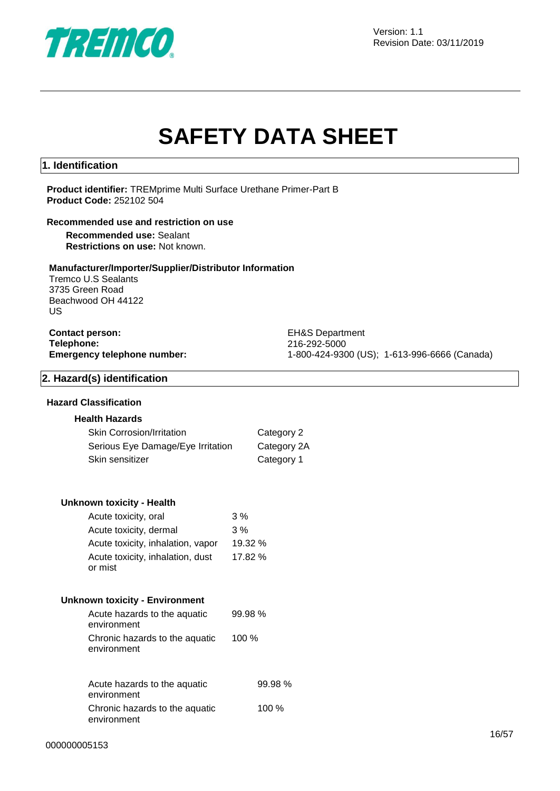

Version: 1.1 Revision Date: 03/11/2019

# **SAFETY DATA SHEET**

#### **1. Identification**

**Product identifier:** TREMprime Multi Surface Urethane Primer-Part B **Product Code:** 252102 504

#### **Recommended use and restriction on use**

**Recommended use:** Sealant **Restrictions on use:** Not known.

#### **Manufacturer/Importer/Supplier/Distributor Information**

Tremco U.S Sealants 3735 Green Road Beachwood OH 44122 US

| <b>Contact person:</b> |                                    |  |
|------------------------|------------------------------------|--|
| Telephone:             |                                    |  |
|                        | <b>Emergency telephone number:</b> |  |

**Contact person:** EH&S Department **Telephone:** 216-292-5000 **Emergency telephone number:** 1-800-424-9300 (US); 1-613-996-6666 (Canada)

#### **2. Hazard(s) identification**

#### **Hazard Classification**

#### **Health Hazards**

| <b>Skin Corrosion/Irritation</b>  | Category 2  |
|-----------------------------------|-------------|
| Serious Eye Damage/Eye Irritation | Category 2A |
| Skin sensitizer                   | Category 1  |

#### **Unknown toxicity - Health**

| Acute toxicity, oral              | 3%      |
|-----------------------------------|---------|
| Acute toxicity, dermal            | 3%      |
| Acute toxicity, inhalation, vapor | 19.32 % |
| Acute toxicity, inhalation, dust  | 17.82 % |
| or mist                           |         |

#### **Unknown toxicity - Environment**

| Acute hazards to the aquatic<br>environment   | 99.98% |
|-----------------------------------------------|--------|
| Chronic hazards to the aquatic<br>environment | 100 %  |

| Acute hazards to the aquatic   | 99.98%  |
|--------------------------------|---------|
| environment                    |         |
| Chronic hazards to the aquatic | 100 $%$ |
| environment                    |         |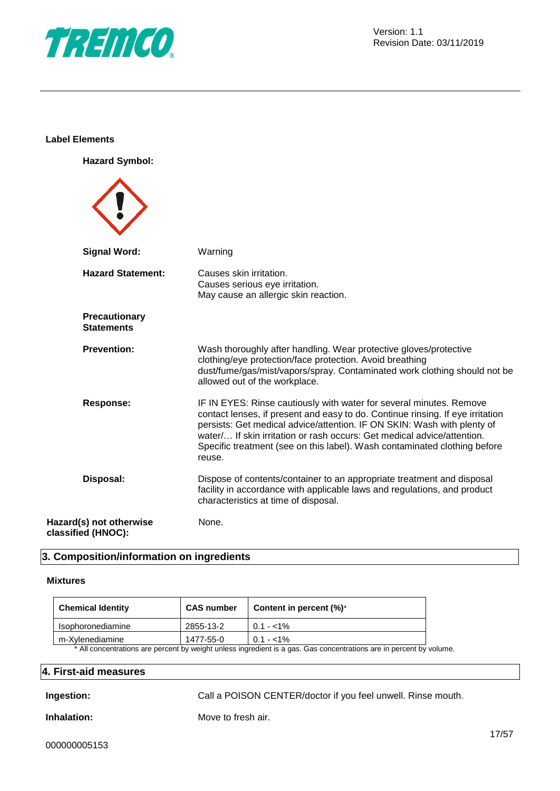

#### **Label Elements**

**Hazard Symbol:**

| <b>Signal Word:</b>                           | Warning                                                                                                                                                                                                                                                                                                                                                                                           |
|-----------------------------------------------|---------------------------------------------------------------------------------------------------------------------------------------------------------------------------------------------------------------------------------------------------------------------------------------------------------------------------------------------------------------------------------------------------|
| <b>Hazard Statement:</b>                      | Causes skin irritation.<br>Causes serious eye irritation.<br>May cause an allergic skin reaction.                                                                                                                                                                                                                                                                                                 |
| <b>Precautionary</b><br><b>Statements</b>     |                                                                                                                                                                                                                                                                                                                                                                                                   |
| <b>Prevention:</b>                            | Wash thoroughly after handling. Wear protective gloves/protective<br>clothing/eye protection/face protection. Avoid breathing<br>dust/fume/gas/mist/vapors/spray. Contaminated work clothing should not be<br>allowed out of the workplace.                                                                                                                                                       |
| Response:                                     | IF IN EYES: Rinse cautiously with water for several minutes. Remove<br>contact lenses, if present and easy to do. Continue rinsing. If eye irritation<br>persists: Get medical advice/attention. IF ON SKIN: Wash with plenty of<br>water If skin irritation or rash occurs: Get medical advice/attention.<br>Specific treatment (see on this label). Wash contaminated clothing before<br>reuse. |
| Disposal:                                     | Dispose of contents/container to an appropriate treatment and disposal<br>facility in accordance with applicable laws and regulations, and product<br>characteristics at time of disposal.                                                                                                                                                                                                        |
| Hazard(s) not otherwise<br>classified (HNOC): | None.                                                                                                                                                                                                                                                                                                                                                                                             |

#### **3. Composition/information on ingredients**

#### **Mixtures**

| <b>Chemical Identity</b>                                                                                         | <b>CAS number</b> | <b>Content in percent <math>(\%)^*</math></b> |  |
|------------------------------------------------------------------------------------------------------------------|-------------------|-----------------------------------------------|--|
| Isophoronediamine                                                                                                | 2855-13-2         | $0.1 - 1\%$                                   |  |
| m-Xvlenediamine                                                                                                  | 1477-55-0         | $0.1 - 1\%$                                   |  |
| * All concentrations are persont by woight upless ingradiant is a gas. Cas concentrations are in persont by volu |                   |                                               |  |

All concentrations are percent by weight unless ingredient is a gas. Gas concentrations are in percent by volume.

## **4. First-aid measures**

**Ingestion:** Call a POISON CENTER/doctor if you feel unwell. Rinse mouth.

**Inhalation:** Move to fresh air.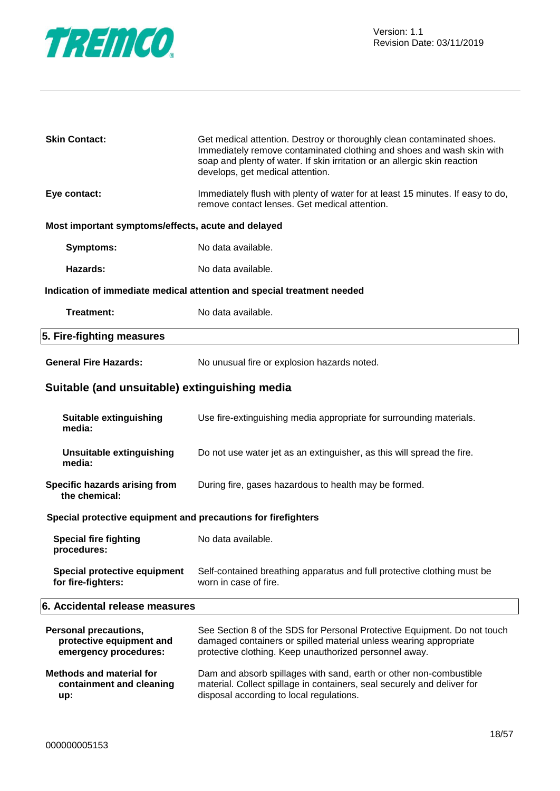

| <b>Skin Contact:</b>                                                       | Get medical attention. Destroy or thoroughly clean contaminated shoes.<br>Immediately remove contaminated clothing and shoes and wash skin with<br>soap and plenty of water. If skin irritation or an allergic skin reaction<br>develops, get medical attention. |
|----------------------------------------------------------------------------|------------------------------------------------------------------------------------------------------------------------------------------------------------------------------------------------------------------------------------------------------------------|
| Eye contact:                                                               | Immediately flush with plenty of water for at least 15 minutes. If easy to do,<br>remove contact lenses. Get medical attention.                                                                                                                                  |
| Most important symptoms/effects, acute and delayed                         |                                                                                                                                                                                                                                                                  |
| <b>Symptoms:</b>                                                           | No data available.                                                                                                                                                                                                                                               |
| <b>Hazards:</b>                                                            | No data available.                                                                                                                                                                                                                                               |
|                                                                            | Indication of immediate medical attention and special treatment needed                                                                                                                                                                                           |
| Treatment:                                                                 | No data available.                                                                                                                                                                                                                                               |
| 5. Fire-fighting measures                                                  |                                                                                                                                                                                                                                                                  |
| <b>General Fire Hazards:</b>                                               | No unusual fire or explosion hazards noted.                                                                                                                                                                                                                      |
| Suitable (and unsuitable) extinguishing media                              |                                                                                                                                                                                                                                                                  |
| <b>Suitable extinguishing</b><br>media:                                    | Use fire-extinguishing media appropriate for surrounding materials.                                                                                                                                                                                              |
| <b>Unsuitable extinguishing</b><br>media:                                  | Do not use water jet as an extinguisher, as this will spread the fire.                                                                                                                                                                                           |
| Specific hazards arising from<br>the chemical:                             | During fire, gases hazardous to health may be formed.                                                                                                                                                                                                            |
| Special protective equipment and precautions for firefighters              |                                                                                                                                                                                                                                                                  |
| <b>Special fire fighting</b><br>procedures:                                | No data available.                                                                                                                                                                                                                                               |
| <b>Special protective equipment</b><br>for fire-fighters:                  | Self-contained breathing apparatus and full protective clothing must be<br>worn in case of fire.                                                                                                                                                                 |
| 6. Accidental release measures                                             |                                                                                                                                                                                                                                                                  |
| Personal precautions,<br>protective equipment and<br>emergency procedures: | See Section 8 of the SDS for Personal Protective Equipment. Do not touch<br>damaged containers or spilled material unless wearing appropriate<br>protective clothing. Keep unauthorized personnel away.                                                          |
| <b>Methods and material for</b>                                            | Dam and absorb spillages with sand, earth or other non-combustible                                                                                                                                                                                               |

**containment and cleaning**  Dam and absorb spillages with sand, earth or other non-combustible material. Collect spillage in containers, seal securely and deliver for disposal according to local regulations.

**up:**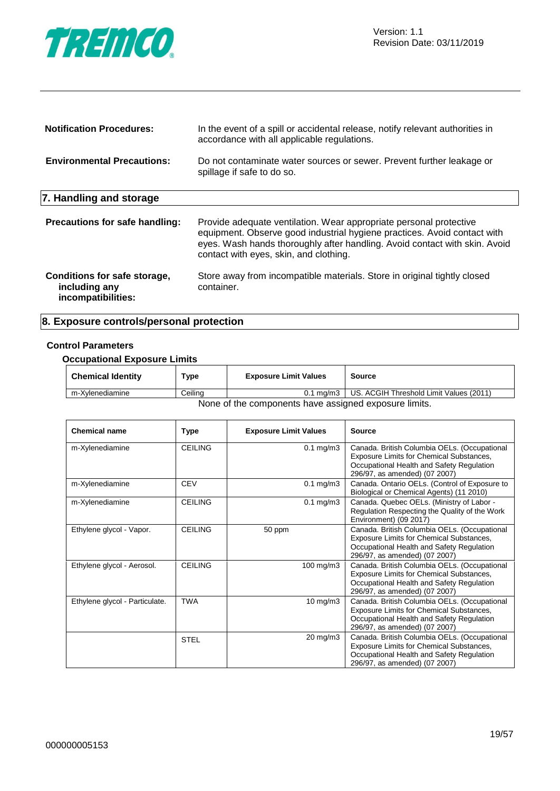

| <b>Notification Procedures:</b>                                     | In the event of a spill or accidental release, notify relevant authorities in<br>accordance with all applicable regulations.                                                                                                                                           |
|---------------------------------------------------------------------|------------------------------------------------------------------------------------------------------------------------------------------------------------------------------------------------------------------------------------------------------------------------|
| <b>Environmental Precautions:</b>                                   | Do not contaminate water sources or sewer. Prevent further leakage or<br>spillage if safe to do so.                                                                                                                                                                    |
| 7. Handling and storage                                             |                                                                                                                                                                                                                                                                        |
| <b>Precautions for safe handling:</b>                               | Provide adequate ventilation. Wear appropriate personal protective<br>equipment. Observe good industrial hygiene practices. Avoid contact with<br>eyes. Wash hands thoroughly after handling. Avoid contact with skin. Avoid<br>contact with eyes, skin, and clothing. |
| Conditions for safe storage,<br>including any<br>incompatibilities: | Store away from incompatible materials. Store in original tightly closed<br>container.                                                                                                                                                                                 |

## **8. Exposure controls/personal protection**

#### **Control Parameters**

#### **Occupational Exposure Limits**

| <b>Chemical Identity</b>                              | Type    | <b>Exposure Limit Values</b> | Source                                              |
|-------------------------------------------------------|---------|------------------------------|-----------------------------------------------------|
| m-Xvlenediamine                                       | Ceilina |                              | 0.1 mg/m3   US. ACGIH Threshold Limit Values (2011) |
| None of the components have assigned exposure limits. |         |                              |                                                     |

| <b>Chemical name</b>           | Type           | <b>Exposure Limit Values</b> | <b>Source</b>                                                                                                                                                          |
|--------------------------------|----------------|------------------------------|------------------------------------------------------------------------------------------------------------------------------------------------------------------------|
| m-Xylenediamine                | <b>CEILING</b> | $0.1$ mg/m $3$               | Canada. British Columbia OELs. (Occupational<br>Exposure Limits for Chemical Substances,<br>Occupational Health and Safety Regulation<br>296/97, as amended) (07 2007) |
| m-Xylenediamine                | <b>CEV</b>     | $0.1 \text{ mg/m}$ 3         | Canada. Ontario OELs. (Control of Exposure to<br>Biological or Chemical Agents) (11 2010)                                                                              |
| m-Xylenediamine                | <b>CEILING</b> | $0.1 \text{ mg/m}$ 3         | Canada. Quebec OELs. (Ministry of Labor -<br>Regulation Respecting the Quality of the Work<br>Environment) (09 2017)                                                   |
| Ethylene glycol - Vapor.       | <b>CEILING</b> | 50 ppm                       | Canada. British Columbia OELs. (Occupational<br>Exposure Limits for Chemical Substances,<br>Occupational Health and Safety Regulation<br>296/97, as amended) (07 2007) |
| Ethylene glycol - Aerosol.     | <b>CEILING</b> | $100$ mg/m $3$               | Canada. British Columbia OELs. (Occupational<br>Exposure Limits for Chemical Substances,<br>Occupational Health and Safety Regulation<br>296/97, as amended) (07 2007) |
| Ethylene glycol - Particulate. | <b>TWA</b>     | $10 \text{ mg/m}$            | Canada. British Columbia OELs. (Occupational<br>Exposure Limits for Chemical Substances,<br>Occupational Health and Safety Regulation<br>296/97, as amended) (07 2007) |
|                                | <b>STEL</b>    | $20 \text{ mg/m}$ 3          | Canada. British Columbia OELs. (Occupational<br>Exposure Limits for Chemical Substances,<br>Occupational Health and Safety Regulation<br>296/97, as amended) (07 2007) |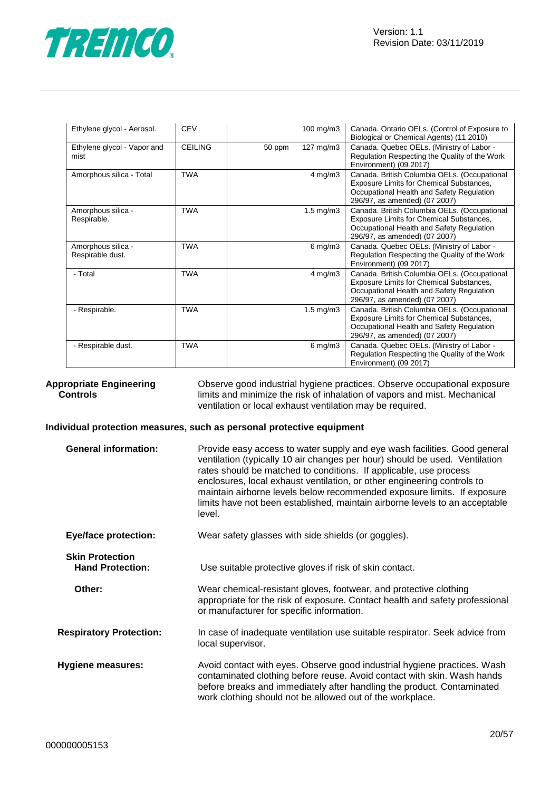

| Ethylene glycol - Aerosol.             | <b>CEV</b>     |        | 100 mg/m3            | Canada. Ontario OELs. (Control of Exposure to<br>Biological or Chemical Agents) (11 2010)                                                                              |
|----------------------------------------|----------------|--------|----------------------|------------------------------------------------------------------------------------------------------------------------------------------------------------------------|
| Ethylene glycol - Vapor and<br>mist    | <b>CEILING</b> | 50 ppm | 127 mg/m3            | Canada. Quebec OELs. (Ministry of Labor -<br>Regulation Respecting the Quality of the Work<br>Environment) (09 2017)                                                   |
| Amorphous silica - Total               | <b>TWA</b>     |        | $4 \text{ mg/m}$ 3   | Canada. British Columbia OELs. (Occupational<br>Exposure Limits for Chemical Substances,<br>Occupational Health and Safety Regulation<br>296/97, as amended) (07 2007) |
| Amorphous silica -<br>Respirable.      | <b>TWA</b>     |        | $1.5 \text{ mg/m}$ 3 | Canada. British Columbia OELs. (Occupational<br>Exposure Limits for Chemical Substances,<br>Occupational Health and Safety Regulation<br>296/97, as amended) (07 2007) |
| Amorphous silica -<br>Respirable dust. | <b>TWA</b>     |        | $6 \,\mathrm{mg/m3}$ | Canada. Quebec OELs. (Ministry of Labor -<br>Regulation Respecting the Quality of the Work<br>Environment) (09 2017)                                                   |
| - Total                                | <b>TWA</b>     |        | $4 \text{ mg/m}$ 3   | Canada. British Columbia OELs. (Occupational<br>Exposure Limits for Chemical Substances,<br>Occupational Health and Safety Regulation<br>296/97, as amended) (07 2007) |
| - Respirable.                          | <b>TWA</b>     |        | $1.5 \text{ mg/m}$ 3 | Canada. British Columbia OELs. (Occupational<br>Exposure Limits for Chemical Substances,<br>Occupational Health and Safety Regulation<br>296/97, as amended) (07 2007) |
| - Respirable dust.                     | <b>TWA</b>     |        | $6$ mg/m $3$         | Canada. Quebec OELs. (Ministry of Labor -<br>Regulation Respecting the Quality of the Work<br>Environment) (09 2017)                                                   |

|                 | <b>Appropriate Engineering</b> |
|-----------------|--------------------------------|
| <b>Controls</b> |                                |

Observe good industrial hygiene practices. Observe occupational exposure limits and minimize the risk of inhalation of vapors and mist. Mechanical ventilation or local exhaust ventilation may be required.

#### **Individual protection measures, such as personal protective equipment**

| <b>General information:</b>                       | Provide easy access to water supply and eye wash facilities. Good general<br>ventilation (typically 10 air changes per hour) should be used. Ventilation<br>rates should be matched to conditions. If applicable, use process<br>enclosures, local exhaust ventilation, or other engineering controls to<br>maintain airborne levels below recommended exposure limits. If exposure<br>limits have not been established, maintain airborne levels to an acceptable<br>level. |
|---------------------------------------------------|------------------------------------------------------------------------------------------------------------------------------------------------------------------------------------------------------------------------------------------------------------------------------------------------------------------------------------------------------------------------------------------------------------------------------------------------------------------------------|
|                                                   |                                                                                                                                                                                                                                                                                                                                                                                                                                                                              |
| <b>Eye/face protection:</b>                       | Wear safety glasses with side shields (or goggles).                                                                                                                                                                                                                                                                                                                                                                                                                          |
| <b>Skin Protection</b><br><b>Hand Protection:</b> | Use suitable protective gloves if risk of skin contact.                                                                                                                                                                                                                                                                                                                                                                                                                      |
| Other:                                            | Wear chemical-resistant gloves, footwear, and protective clothing<br>appropriate for the risk of exposure. Contact health and safety professional<br>or manufacturer for specific information.                                                                                                                                                                                                                                                                               |
| <b>Respiratory Protection:</b>                    | In case of inadequate ventilation use suitable respirator. Seek advice from<br>local supervisor.                                                                                                                                                                                                                                                                                                                                                                             |
| <b>Hygiene measures:</b>                          | Avoid contact with eyes. Observe good industrial hygiene practices. Wash<br>contaminated clothing before reuse. Avoid contact with skin. Wash hands<br>before breaks and immediately after handling the product. Contaminated<br>work clothing should not be allowed out of the workplace.                                                                                                                                                                                   |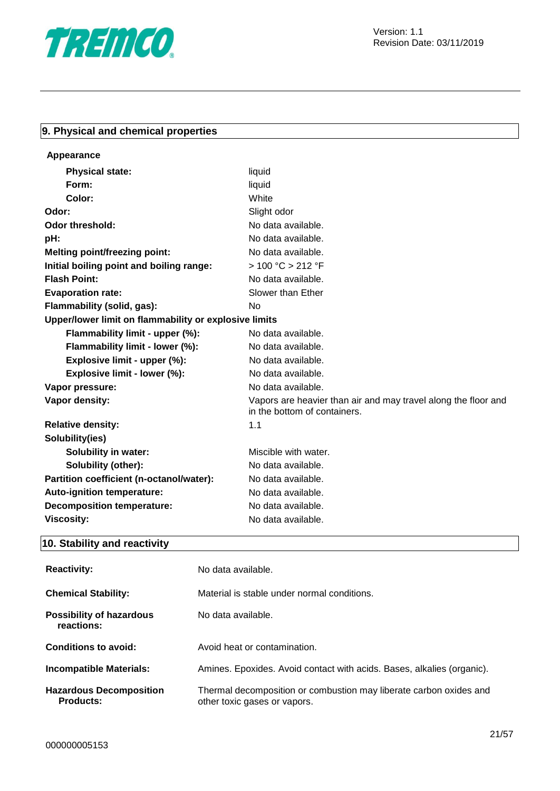

## **9. Physical and chemical properties**

| liquid                                                                                         |
|------------------------------------------------------------------------------------------------|
| liquid                                                                                         |
| White                                                                                          |
| Slight odor                                                                                    |
| No data available.                                                                             |
| No data available.                                                                             |
| No data available.                                                                             |
| > 100 °C > 212 °F                                                                              |
| No data available.                                                                             |
| Slower than Ether                                                                              |
| <b>No</b>                                                                                      |
| Upper/lower limit on flammability or explosive limits                                          |
| No data available.                                                                             |
| No data available.                                                                             |
| No data available.                                                                             |
| No data available.                                                                             |
| No data available.                                                                             |
| Vapors are heavier than air and may travel along the floor and<br>in the bottom of containers. |
| 1.1                                                                                            |
|                                                                                                |
| Miscible with water.                                                                           |
| No data available.                                                                             |
| No data available.                                                                             |
| No data available.                                                                             |
| No data available.                                                                             |
| No data available.                                                                             |
|                                                                                                |

## **10. Stability and reactivity**

| <b>Reactivity:</b>                            | No data available.                                                                                 |
|-----------------------------------------------|----------------------------------------------------------------------------------------------------|
| <b>Chemical Stability:</b>                    | Material is stable under normal conditions.                                                        |
| <b>Possibility of hazardous</b><br>reactions: | No data available.                                                                                 |
| Conditions to avoid:                          | Avoid heat or contamination.                                                                       |
| <b>Incompatible Materials:</b>                | Amines. Epoxides. Avoid contact with acids. Bases, alkalies (organic).                             |
| <b>Hazardous Decomposition</b><br>Products:   | Thermal decomposition or combustion may liberate carbon oxides and<br>other toxic gases or vapors. |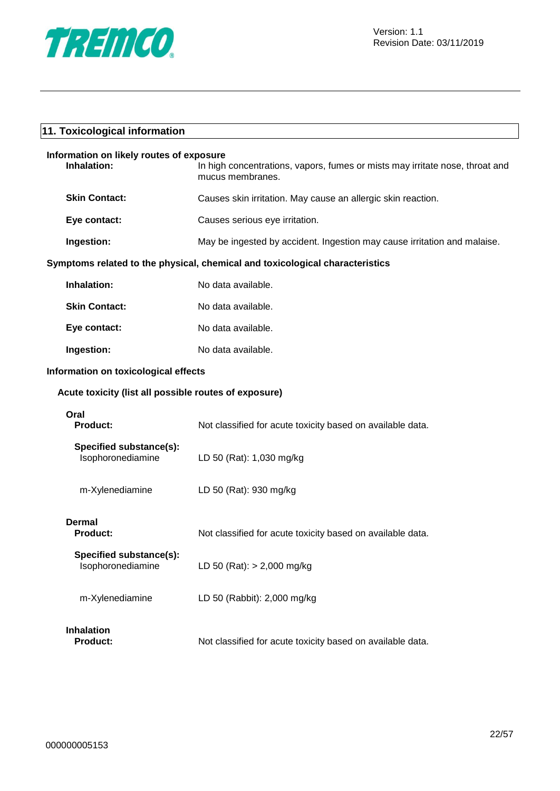

| 11. Toxicological information                           |                                                                                                  |
|---------------------------------------------------------|--------------------------------------------------------------------------------------------------|
| Information on likely routes of exposure<br>Inhalation: | In high concentrations, vapors, fumes or mists may irritate nose, throat and<br>mucus membranes. |
| <b>Skin Contact:</b>                                    | Causes skin irritation. May cause an allergic skin reaction.                                     |
| Eye contact:                                            | Causes serious eye irritation.                                                                   |
| Ingestion:                                              | May be ingested by accident. Ingestion may cause irritation and malaise.                         |
|                                                         | Symptoms related to the physical, chemical and toxicological characteristics                     |
| Inhalation:                                             | No data available.                                                                               |
| <b>Skin Contact:</b>                                    | No data available.                                                                               |
| Eye contact:                                            | No data available.                                                                               |
| Ingestion:                                              | No data available.                                                                               |
| Information on toxicological effects                    |                                                                                                  |
| Acute toxicity (list all possible routes of exposure)   |                                                                                                  |
| Oral<br>Product:                                        | Not classified for acute toxicity based on available data.                                       |
| Specified substance(s):<br>Isophoronediamine            | LD 50 (Rat): 1,030 mg/kg                                                                         |
| m-Xylenediamine                                         | LD 50 (Rat): 930 mg/kg                                                                           |
| <b>Dermal</b><br><b>Product:</b>                        | Not classified for acute toxicity based on available data.                                       |
| Specified substance(s):<br>Isophoronediamine            | LD 50 (Rat): $> 2,000$ mg/kg                                                                     |
| m-Xylenediamine                                         | LD 50 (Rabbit): 2,000 mg/kg                                                                      |
| <b>Inhalation</b><br><b>Product:</b>                    | Not classified for acute toxicity based on available data.                                       |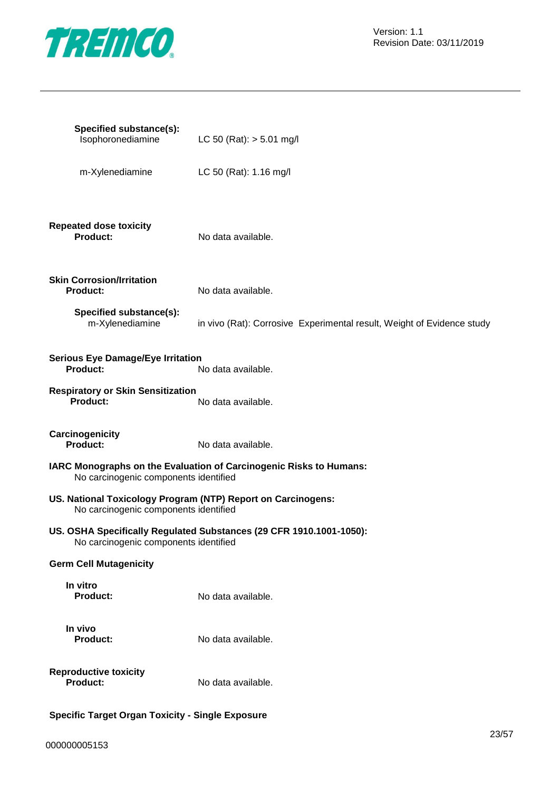

| Specified substance(s):<br>Isophoronediamine                                                          | LC 50 (Rat): $> 5.01$ mg/l                                             |
|-------------------------------------------------------------------------------------------------------|------------------------------------------------------------------------|
| m-Xylenediamine                                                                                       | LC 50 (Rat): 1.16 mg/l                                                 |
| <b>Repeated dose toxicity</b><br><b>Product:</b>                                                      | No data available.                                                     |
| <b>Skin Corrosion/Irritation</b><br><b>Product:</b>                                                   | No data available.                                                     |
| Specified substance(s):<br>m-Xylenediamine                                                            | in vivo (Rat): Corrosive Experimental result, Weight of Evidence study |
| <b>Serious Eye Damage/Eye Irritation</b><br>Product:                                                  | No data available.                                                     |
| <b>Respiratory or Skin Sensitization</b><br><b>Product:</b>                                           | No data available.                                                     |
| Carcinogenicity<br><b>Product:</b>                                                                    | No data available.                                                     |
| No carcinogenic components identified                                                                 | IARC Monographs on the Evaluation of Carcinogenic Risks to Humans:     |
| US. National Toxicology Program (NTP) Report on Carcinogens:<br>No carcinogenic components identified |                                                                        |
| No carcinogenic components identified                                                                 | US. OSHA Specifically Regulated Substances (29 CFR 1910.1001-1050):    |
| <b>Germ Cell Mutagenicity</b>                                                                         |                                                                        |
| In vitro<br><b>Product:</b>                                                                           | No data available.                                                     |
| In vivo<br><b>Product:</b>                                                                            | No data available.                                                     |
| <b>Reproductive toxicity</b><br><b>Product:</b>                                                       | No data available.                                                     |
| <b>Specific Target Organ Toxicity - Single Exposure</b>                                               |                                                                        |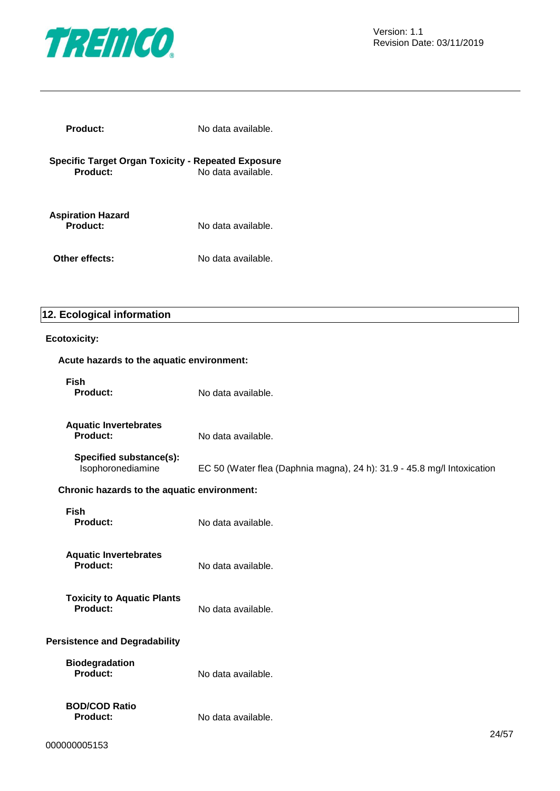

| Product:                                                              | No data available. |
|-----------------------------------------------------------------------|--------------------|
| <b>Specific Target Organ Toxicity - Repeated Exposure</b><br>Product: | No data available. |
| <b>Aspiration Hazard</b><br>Product:                                  | No data available. |
| Other effects:                                                        | No data available. |

## **12. Ecological information**

#### **Ecotoxicity:**

| Acute hazards to the aquatic environment:       |                                                                         |     |
|-------------------------------------------------|-------------------------------------------------------------------------|-----|
| <b>Fish</b><br><b>Product:</b>                  | No data available.                                                      |     |
| <b>Aquatic Invertebrates</b><br><b>Product:</b> | No data available.                                                      |     |
| Specified substance(s):<br>Isophoronediamine    | EC 50 (Water flea (Daphnia magna), 24 h): 31.9 - 45.8 mg/l Intoxication |     |
| Chronic hazards to the aquatic environment:     |                                                                         |     |
| <b>Fish</b><br><b>Product:</b>                  | No data available.                                                      |     |
| <b>Aquatic Invertebrates</b><br><b>Product:</b> | No data available.                                                      |     |
| <b>Toxicity to Aquatic Plants</b><br>Product:   | No data available.                                                      |     |
| <b>Persistence and Degradability</b>            |                                                                         |     |
| <b>Biodegradation</b><br><b>Product:</b>        | No data available.                                                      |     |
| <b>BOD/COD Ratio</b><br><b>Product:</b>         | No data available.                                                      | 24I |
|                                                 |                                                                         |     |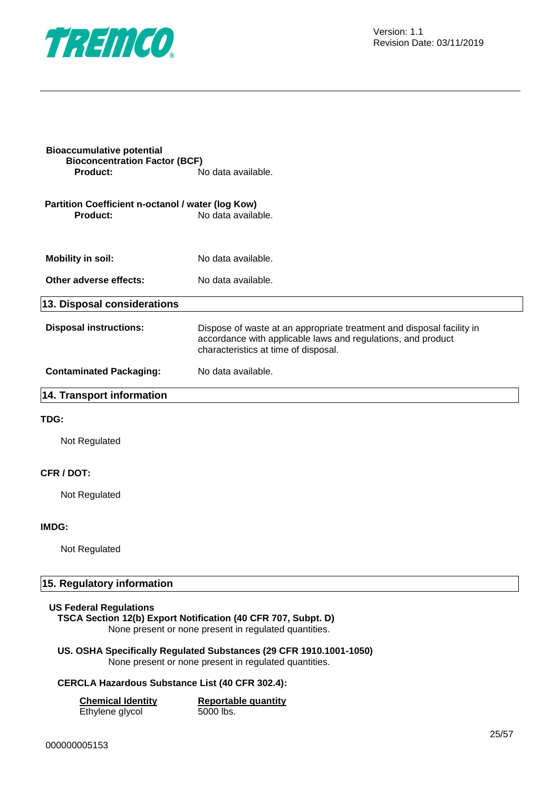

| <b>Bioaccumulative potential</b><br><b>Bioconcentration Factor (BCF)</b> |                                                                                                                                                                               |
|--------------------------------------------------------------------------|-------------------------------------------------------------------------------------------------------------------------------------------------------------------------------|
| <b>Product:</b>                                                          | No data available.                                                                                                                                                            |
| Partition Coefficient n-octanol / water (log Kow)                        |                                                                                                                                                                               |
| <b>Product:</b>                                                          | No data available.                                                                                                                                                            |
|                                                                          |                                                                                                                                                                               |
| <b>Mobility in soil:</b>                                                 | No data available.                                                                                                                                                            |
| Other adverse effects:                                                   | No data available.                                                                                                                                                            |
| 13. Disposal considerations                                              |                                                                                                                                                                               |
| <b>Disposal instructions:</b>                                            | Dispose of waste at an appropriate treatment and disposal facility in<br>accordance with applicable laws and regulations, and product<br>characteristics at time of disposal. |
| <b>Contaminated Packaging:</b>                                           | No data available.                                                                                                                                                            |
| <b>14. Transport information</b>                                         |                                                                                                                                                                               |
| TDG:                                                                     |                                                                                                                                                                               |
| Not Regulated                                                            |                                                                                                                                                                               |

#### **CFR / DOT:**

Not Regulated

#### **IMDG:**

Not Regulated

### **15. Regulatory information**

#### **US Federal Regulations**

## **TSCA Section 12(b) Export Notification (40 CFR 707, Subpt. D)**

None present or none present in regulated quantities.

#### **US. OSHA Specifically Regulated Substances (29 CFR 1910.1001-1050)** None present or none present in regulated quantities.

#### **CERCLA Hazardous Substance List (40 CFR 302.4):**

| <b>Chemical Identity</b> | <b>Reportable quantity</b> |
|--------------------------|----------------------------|
| Ethylene glycol          | 5000 lbs.                  |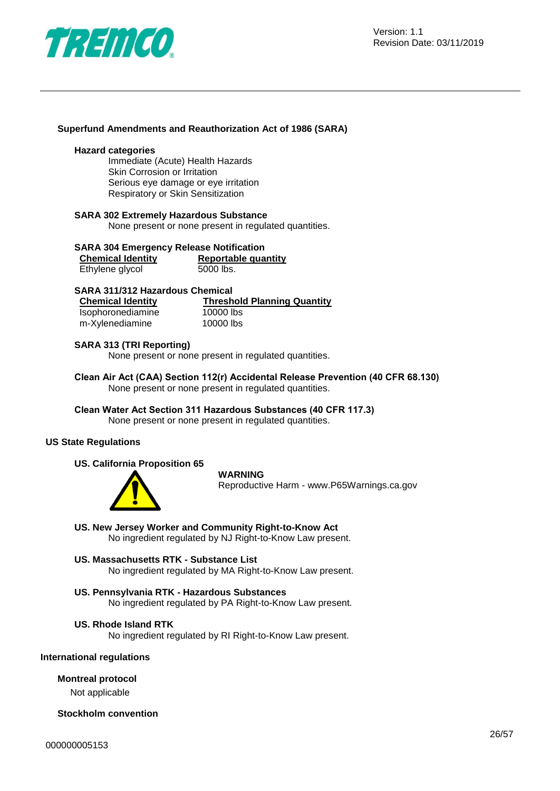

## **Superfund Amendments and Reauthorization Act of 1986 (SARA)**

#### **Hazard categories**

Immediate (Acute) Health Hazards Skin Corrosion or Irritation Serious eye damage or eye irritation Respiratory or Skin Sensitization

#### **SARA 302 Extremely Hazardous Substance**

None present or none present in regulated quantities.

## **SARA 304 Emergency Release Notification**

| <b>Chemical Identity</b> | <b>Reportable quantity</b> |
|--------------------------|----------------------------|
| Ethylene glycol          | 5000 lbs.                  |

#### **SARA 311/312 Hazardous Chemical**

| <b>Chemical Identity</b> | <b>Threshold Planning Quantity</b> |
|--------------------------|------------------------------------|
| Isophoronediamine        | 10000 lbs                          |
| m-Xylenediamine          | 10000 lbs                          |

#### **SARA 313 (TRI Reporting)**

None present or none present in regulated quantities.

**Clean Air Act (CAA) Section 112(r) Accidental Release Prevention (40 CFR 68.130)** None present or none present in regulated quantities.

#### **Clean Water Act Section 311 Hazardous Substances (40 CFR 117.3)** None present or none present in regulated quantities.

#### **US State Regulations**

#### **US. California Proposition 65**



#### **WARNING**

Reproductive Harm - www.P65Warnings.ca.gov

**US. New Jersey Worker and Community Right-to-Know Act** No ingredient regulated by NJ Right-to-Know Law present.

#### **US. Massachusetts RTK - Substance List**

No ingredient regulated by MA Right-to-Know Law present.

## **US. Pennsylvania RTK - Hazardous Substances**

No ingredient regulated by PA Right-to-Know Law present.

#### **US. Rhode Island RTK**

No ingredient regulated by RI Right-to-Know Law present.

#### **International regulations**

#### **Montreal protocol**

Not applicable

#### **Stockholm convention**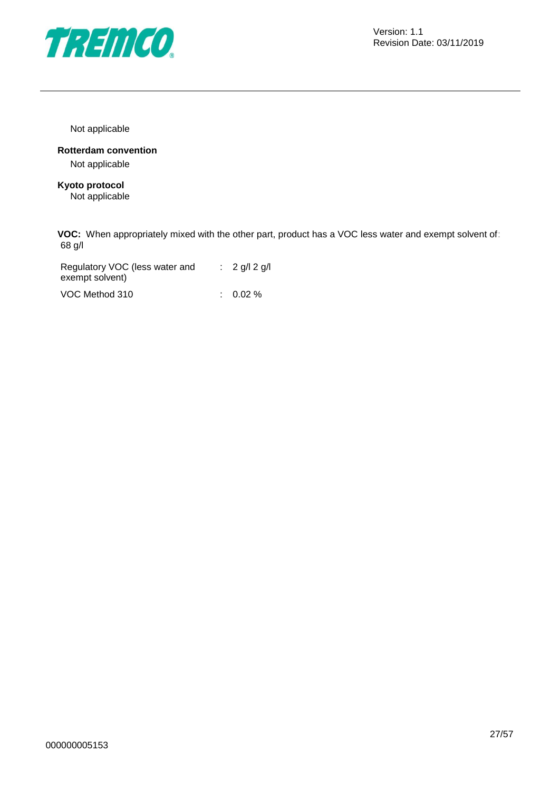

Not applicable

**Rotterdam convention** Not applicable

**Kyoto protocol** Not applicable

**VOC:** When appropriately mixed with the other part, product has a VOC less water and exempt solvent of: 68 g/l

Regulatory VOC (less water and exempt solvent) : 2 g/l 2 g/l VOC Method 310 : 0.02 %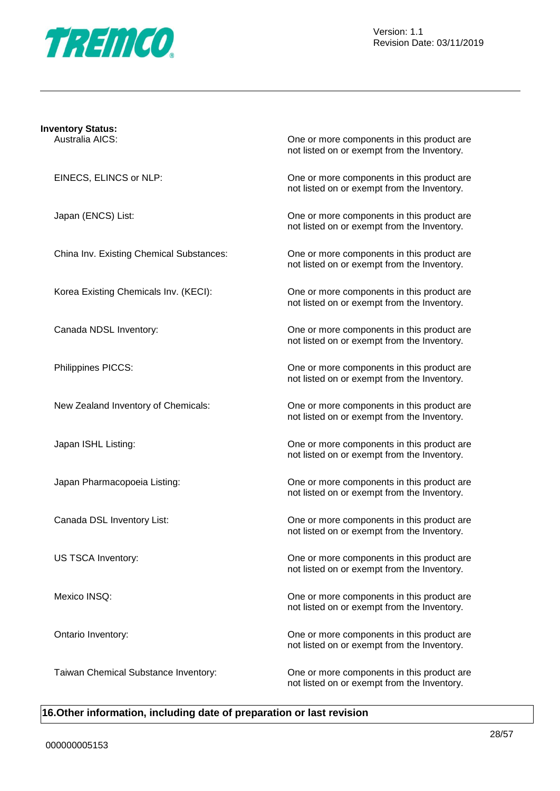

| <b>Inventory Status:</b><br>Australia AICS: | One or more components in this product are<br>not listed on or exempt from the Inventory. |
|---------------------------------------------|-------------------------------------------------------------------------------------------|
| EINECS, ELINCS or NLP:                      | One or more components in this product are<br>not listed on or exempt from the Inventory. |
| Japan (ENCS) List:                          | One or more components in this product are<br>not listed on or exempt from the Inventory. |
| China Inv. Existing Chemical Substances:    | One or more components in this product are<br>not listed on or exempt from the Inventory. |
| Korea Existing Chemicals Inv. (KECI):       | One or more components in this product are<br>not listed on or exempt from the Inventory. |
| Canada NDSL Inventory:                      | One or more components in this product are<br>not listed on or exempt from the Inventory. |
| Philippines PICCS:                          | One or more components in this product are<br>not listed on or exempt from the Inventory. |
| New Zealand Inventory of Chemicals:         | One or more components in this product are<br>not listed on or exempt from the Inventory. |
| Japan ISHL Listing:                         | One or more components in this product are<br>not listed on or exempt from the Inventory. |
| Japan Pharmacopoeia Listing:                | One or more components in this product are<br>not listed on or exempt from the Inventory. |
| Canada DSL Inventory List:                  | One or more components in this product are<br>not listed on or exempt from the Inventory. |
| US TSCA Inventory:                          | One or more components in this product are<br>not listed on or exempt from the Inventory. |
| Mexico INSQ:                                | One or more components in this product are<br>not listed on or exempt from the Inventory. |
| Ontario Inventory:                          | One or more components in this product are<br>not listed on or exempt from the Inventory. |
| Taiwan Chemical Substance Inventory:        | One or more components in this product are<br>not listed on or exempt from the Inventory. |

## **16.Other information, including date of preparation or last revision**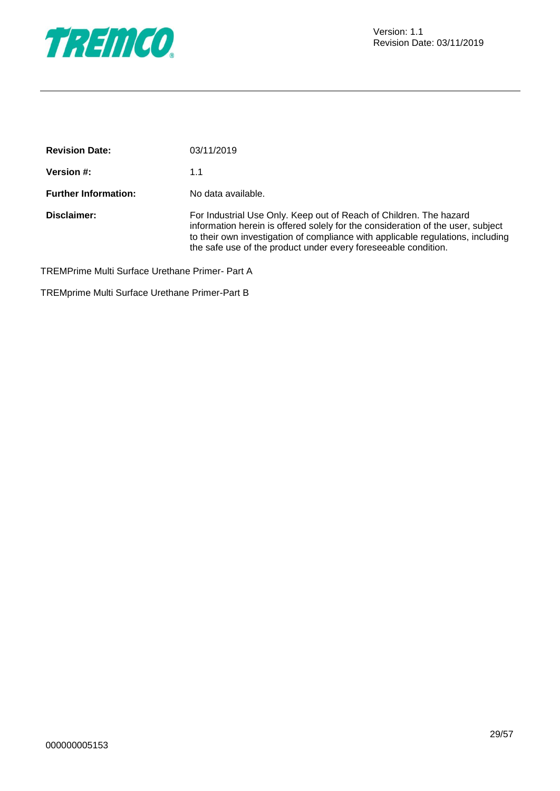

| <b>Revision Date:</b>       | 03/11/2019                                                                                                                                                                                                                                                                                                 |
|-----------------------------|------------------------------------------------------------------------------------------------------------------------------------------------------------------------------------------------------------------------------------------------------------------------------------------------------------|
| <b>Version #:</b>           | 1.1                                                                                                                                                                                                                                                                                                        |
| <b>Further Information:</b> | No data available.                                                                                                                                                                                                                                                                                         |
| Disclaimer:                 | For Industrial Use Only. Keep out of Reach of Children. The hazard<br>information herein is offered solely for the consideration of the user, subject<br>to their own investigation of compliance with applicable regulations, including<br>the safe use of the product under every foreseeable condition. |

TREMPrime Multi Surface Urethane Primer- Part A

TREMprime Multi Surface Urethane Primer-Part B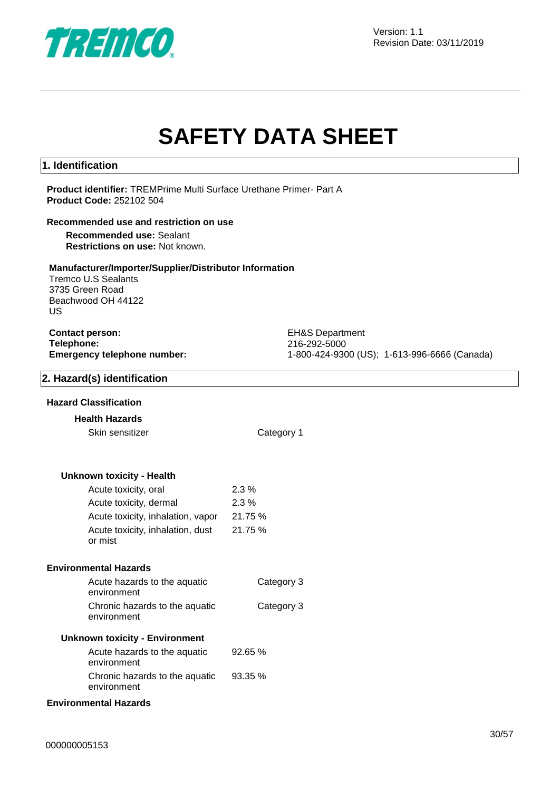

Version: 1.1 Revision Date: 03/11/2019

# **SAFETY DATA SHEET**

#### **1. Identification**

**Product identifier:** TREMPrime Multi Surface Urethane Primer- Part A **Product Code:** 252102 504

#### **Recommended use and restriction on use**

**Recommended use:** Sealant **Restrictions on use:** Not known.

#### **Manufacturer/Importer/Supplier/Distributor Information**

Tremco U.S Sealants 3735 Green Road Beachwood OH 44122 US

| <b>Contact person:</b>             |
|------------------------------------|
| Telephone:                         |
| <b>Emergency telephone number:</b> |

**EH&S Department Telephone:** 216-292-5000 **Emergency telephone number:** 1-800-424-9300 (US); 1-613-996-6666 (Canada)

#### **2. Hazard(s) identification**

#### **Hazard Classification**

#### **Health Hazards**

Skin sensitizer **Category 1** 

#### **Unknown toxicity - Health**

| Acute toxicity, oral              | $2.3\%$ |
|-----------------------------------|---------|
| Acute toxicity, dermal            | $2.3\%$ |
| Acute toxicity, inhalation, vapor | 21.75 % |
| Acute toxicity, inhalation, dust  | 21.75 % |
| or mist                           |         |

#### **Environmental Hazards**

| Acute hazards to the aquatic   | Category 3 |
|--------------------------------|------------|
| environment                    |            |
| Chronic hazards to the aquatic | Category 3 |
| environment                    |            |

#### **Unknown toxicity - Environment**

| Acute hazards to the aquatic   | 92.65 % |
|--------------------------------|---------|
| environment                    |         |
| Chronic hazards to the aquatic | 93.35 % |
| environment                    |         |

#### **Environmental Hazards**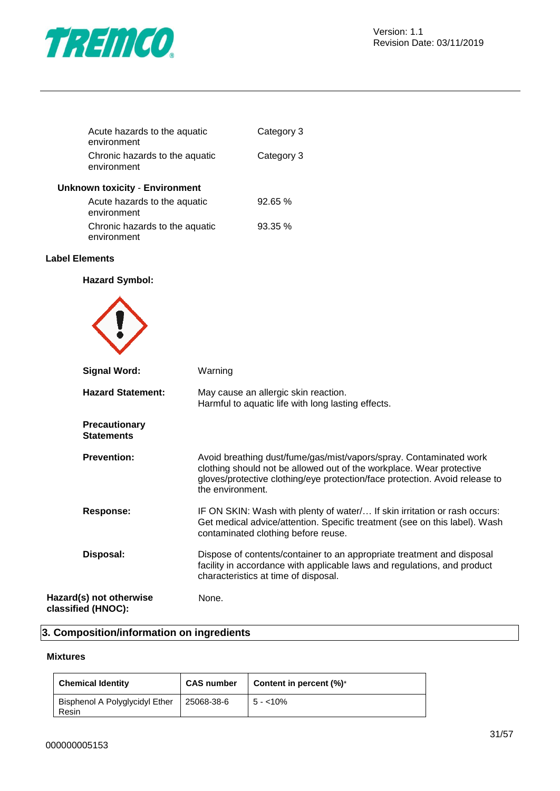

| Acute hazards to the aquatic<br>environment   | Category 3 |
|-----------------------------------------------|------------|
| Chronic hazards to the aquatic<br>environment | Category 3 |
| <b>Unknown toxicity - Environment</b>         |            |
| Acute hazards to the aquatic<br>environment   | 92.65%     |
| Chronic hazards to the aquatic<br>environment | $93.35 \%$ |

#### **Label Elements**

**Hazard Symbol:**



| <b>Signal Word:</b>                           | Warning                                                                                                                                                                                                                                       |
|-----------------------------------------------|-----------------------------------------------------------------------------------------------------------------------------------------------------------------------------------------------------------------------------------------------|
| <b>Hazard Statement:</b>                      | May cause an allergic skin reaction.<br>Harmful to aquatic life with long lasting effects.                                                                                                                                                    |
| <b>Precautionary</b><br><b>Statements</b>     |                                                                                                                                                                                                                                               |
| <b>Prevention:</b>                            | Avoid breathing dust/fume/gas/mist/vapors/spray. Contaminated work<br>clothing should not be allowed out of the workplace. Wear protective<br>gloves/protective clothing/eye protection/face protection. Avoid release to<br>the environment. |
| Response:                                     | IF ON SKIN: Wash with plenty of water If skin irritation or rash occurs:<br>Get medical advice/attention. Specific treatment (see on this label). Wash<br>contaminated clothing before reuse.                                                 |
| Disposal:                                     | Dispose of contents/container to an appropriate treatment and disposal<br>facility in accordance with applicable laws and regulations, and product<br>characteristics at time of disposal.                                                    |
| Hazard(s) not otherwise<br>classified (HNOC): | None.                                                                                                                                                                                                                                         |

## **3. Composition/information on ingredients**

#### **Mixtures**

| <b>Chemical Identity</b>                | <b>CAS number</b> | Content in percent (%)* |
|-----------------------------------------|-------------------|-------------------------|
| Bisphenol A Polyglycidyl Ether<br>Resin | 25068-38-6        | $15 - 10\%$             |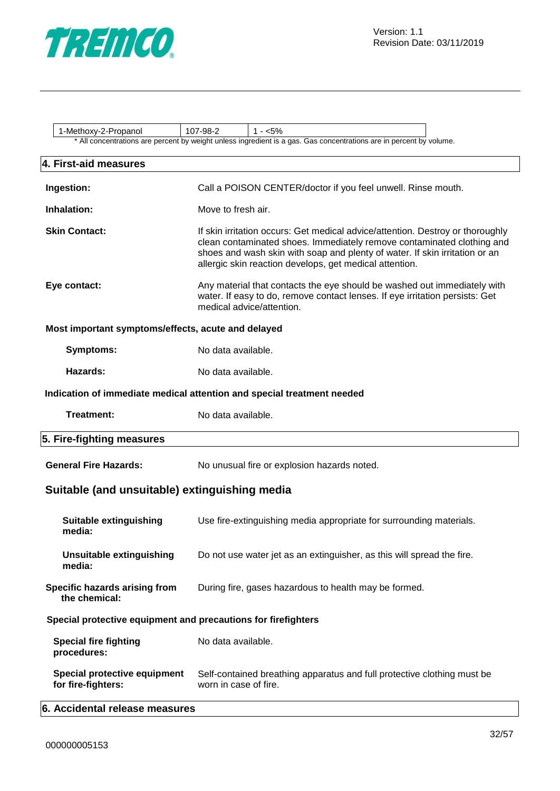

1-Methoxy-2-Propanol | 107-98-2 | 1 - <5% \* All concentrations are percent by weight unless ingredient is a gas. Gas concentrations are in percent by volume.

| 4. First-aid measures                                         |                                                                                                                                                                                                                                                                                                    |
|---------------------------------------------------------------|----------------------------------------------------------------------------------------------------------------------------------------------------------------------------------------------------------------------------------------------------------------------------------------------------|
| Ingestion:                                                    | Call a POISON CENTER/doctor if you feel unwell. Rinse mouth.                                                                                                                                                                                                                                       |
| Inhalation:                                                   | Move to fresh air.                                                                                                                                                                                                                                                                                 |
| <b>Skin Contact:</b>                                          | If skin irritation occurs: Get medical advice/attention. Destroy or thoroughly<br>clean contaminated shoes. Immediately remove contaminated clothing and<br>shoes and wash skin with soap and plenty of water. If skin irritation or an<br>allergic skin reaction develops, get medical attention. |
| Eye contact:                                                  | Any material that contacts the eye should be washed out immediately with<br>water. If easy to do, remove contact lenses. If eye irritation persists: Get<br>medical advice/attention.                                                                                                              |
| Most important symptoms/effects, acute and delayed            |                                                                                                                                                                                                                                                                                                    |
| <b>Symptoms:</b>                                              | No data available.                                                                                                                                                                                                                                                                                 |
| Hazards:                                                      | No data available.                                                                                                                                                                                                                                                                                 |
|                                                               | Indication of immediate medical attention and special treatment needed                                                                                                                                                                                                                             |
| <b>Treatment:</b>                                             | No data available.                                                                                                                                                                                                                                                                                 |
| 5. Fire-fighting measures                                     |                                                                                                                                                                                                                                                                                                    |
| <b>General Fire Hazards:</b>                                  | No unusual fire or explosion hazards noted.                                                                                                                                                                                                                                                        |
| Suitable (and unsuitable) extinguishing media                 |                                                                                                                                                                                                                                                                                                    |
| <b>Suitable extinguishing</b><br>media:                       | Use fire-extinguishing media appropriate for surrounding materials.                                                                                                                                                                                                                                |
| <b>Unsuitable extinguishing</b><br>media:                     | Do not use water jet as an extinguisher, as this will spread the fire.                                                                                                                                                                                                                             |
| Specific hazards arising from<br>the chemical:                | During fire, gases hazardous to health may be formed.                                                                                                                                                                                                                                              |
| Special protective equipment and precautions for firefighters |                                                                                                                                                                                                                                                                                                    |
| <b>Special fire fighting</b><br>procedures:                   | No data available.                                                                                                                                                                                                                                                                                 |
| Special protective equipment<br>for fire-fighters:            | Self-contained breathing apparatus and full protective clothing must be<br>worn in case of fire.                                                                                                                                                                                                   |
| 6. Accidental release measures                                |                                                                                                                                                                                                                                                                                                    |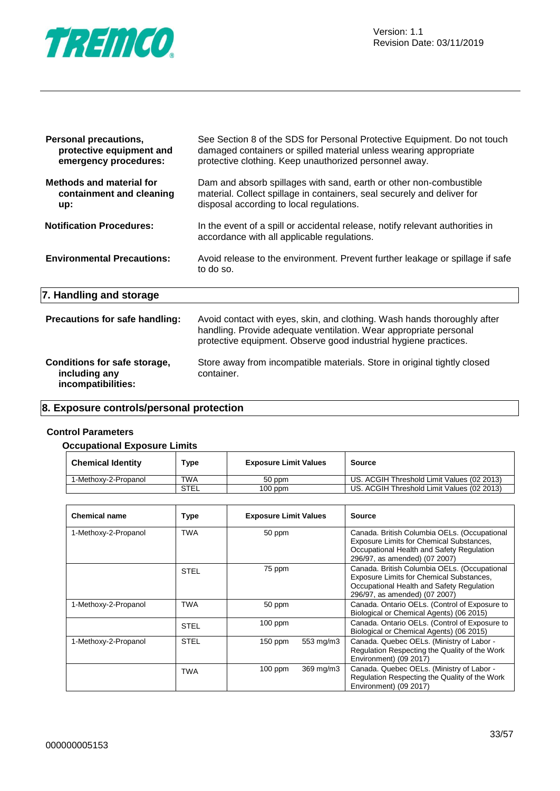

| <b>Personal precautions,</b><br>protective equipment and<br>emergency procedures: | See Section 8 of the SDS for Personal Protective Equipment. Do not touch<br>damaged containers or spilled material unless wearing appropriate<br>protective clothing. Keep unauthorized personnel away.           |
|-----------------------------------------------------------------------------------|-------------------------------------------------------------------------------------------------------------------------------------------------------------------------------------------------------------------|
| <b>Methods and material for</b><br>containment and cleaning<br>up:                | Dam and absorb spillages with sand, earth or other non-combustible<br>material. Collect spillage in containers, seal securely and deliver for<br>disposal according to local regulations.                         |
| <b>Notification Procedures:</b>                                                   | In the event of a spill or accidental release, notify relevant authorities in<br>accordance with all applicable regulations.                                                                                      |
| <b>Environmental Precautions:</b>                                                 | Avoid release to the environment. Prevent further leakage or spillage if safe<br>to do so.                                                                                                                        |
| 7. Handling and storage                                                           |                                                                                                                                                                                                                   |
| <b>Precautions for safe handling:</b>                                             | Avoid contact with eyes, skin, and clothing. Wash hands thoroughly after<br>handling. Provide adequate ventilation. Wear appropriate personal<br>protective equipment. Observe good industrial hygiene practices. |
| <b>Conditions for safe storage,</b><br>including any<br>incompatibilities:        | Store away from incompatible materials. Store in original tightly closed<br>container.                                                                                                                            |
|                                                                                   |                                                                                                                                                                                                                   |

## **8. Exposure controls/personal protection**

## **Control Parameters**

#### **Occupational Exposure Limits**

| <b>Chemical Identity</b> | Type | <b>Exposure Limit Values</b> | Source                                     |
|--------------------------|------|------------------------------|--------------------------------------------|
| 1-Methoxy-2-Propanol     | TWA  | 50 ppm                       | US. ACGIH Threshold Limit Values (02 2013) |
|                          | STEL | 100 ppm                      | US. ACGIH Threshold Limit Values (02 2013) |

| <b>Chemical name</b> | Type        | <b>Exposure Limit Values</b> |           | <b>Source</b>                                                                                                                                                                 |
|----------------------|-------------|------------------------------|-----------|-------------------------------------------------------------------------------------------------------------------------------------------------------------------------------|
| 1-Methoxy-2-Propanol | <b>TWA</b>  | 50 ppm                       |           | Canada. British Columbia OELs. (Occupational<br>Exposure Limits for Chemical Substances,<br>Occupational Health and Safety Regulation<br>296/97, as amended) (07 2007)        |
|                      | <b>STEL</b> | 75 ppm                       |           | Canada. British Columbia OELs. (Occupational<br><b>Exposure Limits for Chemical Substances,</b><br>Occupational Health and Safety Regulation<br>296/97, as amended) (07 2007) |
| 1-Methoxy-2-Propanol | TWA         | 50 ppm                       |           | Canada. Ontario OELs. (Control of Exposure to<br>Biological or Chemical Agents) (06 2015)                                                                                     |
|                      | <b>STEL</b> | $100$ ppm                    |           | Canada. Ontario OELs. (Control of Exposure to<br>Biological or Chemical Agents) (06 2015)                                                                                     |
| 1-Methoxy-2-Propanol | <b>STEL</b> | $150$ ppm                    | 553 mg/m3 | Canada. Quebec OELs. (Ministry of Labor -<br>Regulation Respecting the Quality of the Work<br>Environment) (09 2017)                                                          |
|                      | TWA         | $100$ ppm                    | 369 mg/m3 | Canada. Quebec OELs. (Ministry of Labor -<br>Regulation Respecting the Quality of the Work<br>Environment) (09 2017)                                                          |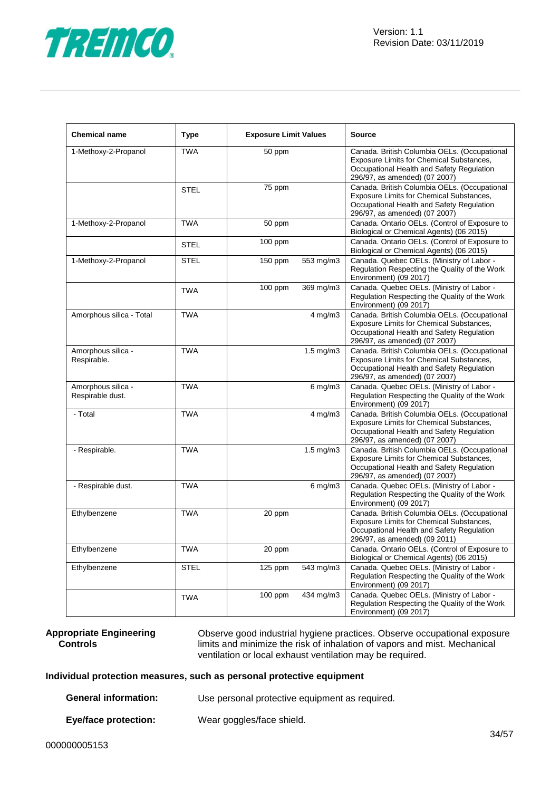

| <b>Chemical name</b>                   | <b>Type</b> | <b>Exposure Limit Values</b> |                      | <b>Source</b>                                                                                                                                                          |
|----------------------------------------|-------------|------------------------------|----------------------|------------------------------------------------------------------------------------------------------------------------------------------------------------------------|
| 1-Methoxy-2-Propanol                   | <b>TWA</b>  | 50 ppm                       |                      | Canada. British Columbia OELs. (Occupational<br>Exposure Limits for Chemical Substances,<br>Occupational Health and Safety Regulation<br>296/97, as amended) (07 2007) |
|                                        | <b>STEL</b> | 75 ppm                       |                      | Canada. British Columbia OELs. (Occupational<br>Exposure Limits for Chemical Substances,<br>Occupational Health and Safety Regulation<br>296/97, as amended) (07 2007) |
| 1-Methoxy-2-Propanol                   | <b>TWA</b>  | 50 ppm                       |                      | Canada. Ontario OELs. (Control of Exposure to<br>Biological or Chemical Agents) (06 2015)                                                                              |
|                                        | <b>STEL</b> | 100 ppm                      |                      | Canada. Ontario OELs. (Control of Exposure to<br>Biological or Chemical Agents) (06 2015)                                                                              |
| 1-Methoxy-2-Propanol                   | <b>STEL</b> | 150 ppm                      | 553 mg/m3            | Canada. Quebec OELs. (Ministry of Labor -<br>Regulation Respecting the Quality of the Work<br>Environment) (09 2017)                                                   |
|                                        | <b>TWA</b>  | 100 ppm                      | 369 mg/m3            | Canada. Quebec OELs. (Ministry of Labor -<br>Regulation Respecting the Quality of the Work<br>Environment) (09 2017)                                                   |
| Amorphous silica - Total               | <b>TWA</b>  |                              | $4$ mg/m $3$         | Canada. British Columbia OELs. (Occupational<br>Exposure Limits for Chemical Substances,<br>Occupational Health and Safety Regulation<br>296/97, as amended) (07 2007) |
| Amorphous silica -<br>Respirable.      | <b>TWA</b>  |                              | $1.5 \text{ mg/m}$ 3 | Canada. British Columbia OELs. (Occupational<br>Exposure Limits for Chemical Substances,<br>Occupational Health and Safety Regulation<br>296/97, as amended) (07 2007) |
| Amorphous silica -<br>Respirable dust. | <b>TWA</b>  |                              | $6$ mg/m $3$         | Canada. Quebec OELs. (Ministry of Labor -<br>Regulation Respecting the Quality of the Work<br>Environment) (09 2017)                                                   |
| - Total                                | <b>TWA</b>  |                              | 4 mg/m3              | Canada. British Columbia OELs. (Occupational<br>Exposure Limits for Chemical Substances,<br>Occupational Health and Safety Regulation<br>296/97, as amended) (07 2007) |
| - Respirable.                          | <b>TWA</b>  |                              | $1.5 \text{ mg/m}$ 3 | Canada. British Columbia OELs. (Occupational<br>Exposure Limits for Chemical Substances,<br>Occupational Health and Safety Regulation<br>296/97, as amended) (07 2007) |
| - Respirable dust.                     | <b>TWA</b>  |                              | $6$ mg/m $3$         | Canada. Quebec OELs. (Ministry of Labor -<br>Regulation Respecting the Quality of the Work<br>Environment) (09 2017)                                                   |
| Ethylbenzene                           | <b>TWA</b>  | 20 ppm                       |                      | Canada. British Columbia OELs. (Occupational<br>Exposure Limits for Chemical Substances,<br>Occupational Health and Safety Regulation<br>296/97, as amended) (09 2011) |
| Ethylbenzene                           | <b>TWA</b>  | 20 ppm                       |                      | Canada. Ontario OELs. (Control of Exposure to<br>Biological or Chemical Agents) (06 2015)                                                                              |
| Ethylbenzene                           | <b>STEL</b> | $125$ ppm                    | 543 mg/m3            | Canada. Quebec OELs. (Ministry of Labor -<br>Regulation Respecting the Quality of the Work<br>Environment) (09 2017)                                                   |
|                                        | <b>TWA</b>  | $100$ ppm                    | 434 mg/m3            | Canada. Quebec OELs. (Ministry of Labor -<br>Regulation Respecting the Quality of the Work<br>Environment) (09 2017)                                                   |

#### **Appropriate Engineering Controls**

Observe good industrial hygiene practices. Observe occupational exposure limits and minimize the risk of inhalation of vapors and mist. Mechanical ventilation or local exhaust ventilation may be required.

#### **Individual protection measures, such as personal protective equipment**

**General information:** Use personal protective equipment as required.

**Eye/face protection:** Wear goggles/face shield.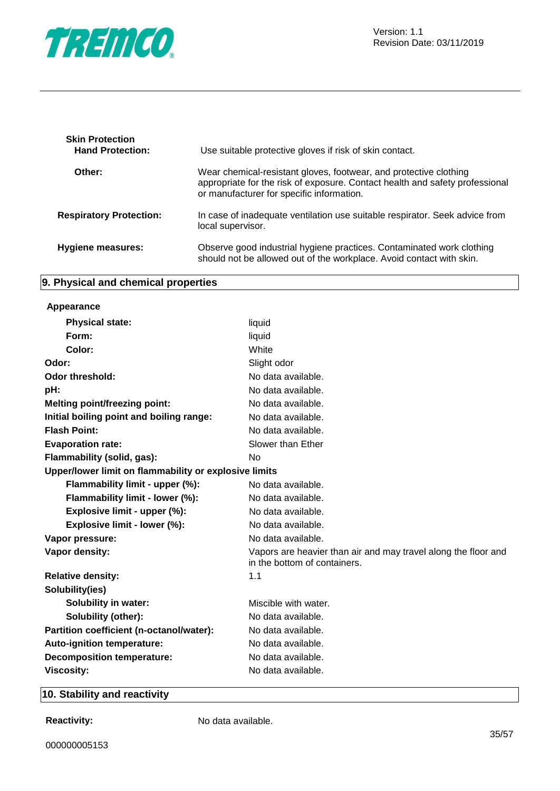

| <b>Skin Protection</b><br><b>Hand Protection:</b> | Use suitable protective gloves if risk of skin contact.                                                                                                                                        |
|---------------------------------------------------|------------------------------------------------------------------------------------------------------------------------------------------------------------------------------------------------|
| Other:                                            | Wear chemical-resistant gloves, footwear, and protective clothing<br>appropriate for the risk of exposure. Contact health and safety professional<br>or manufacturer for specific information. |
| <b>Respiratory Protection:</b>                    | In case of inadequate ventilation use suitable respirator. Seek advice from<br>local supervisor.                                                                                               |
| Hygiene measures:                                 | Observe good industrial hygiene practices. Contaminated work clothing<br>should not be allowed out of the workplace. Avoid contact with skin.                                                  |

## **9. Physical and chemical properties**

#### **Appearance**

| <b>Physical state:</b>                                | liquid                                                                                         |
|-------------------------------------------------------|------------------------------------------------------------------------------------------------|
| Form:                                                 | liquid                                                                                         |
| Color:                                                | White                                                                                          |
| Odor:                                                 | Slight odor                                                                                    |
| <b>Odor threshold:</b>                                | No data available.                                                                             |
| pH:                                                   | No data available.                                                                             |
| <b>Melting point/freezing point:</b>                  | No data available.                                                                             |
| Initial boiling point and boiling range:              | No data available.                                                                             |
| <b>Flash Point:</b>                                   | No data available.                                                                             |
| <b>Evaporation rate:</b>                              | Slower than Ether                                                                              |
| Flammability (solid, gas):                            | No.                                                                                            |
| Upper/lower limit on flammability or explosive limits |                                                                                                |
| Flammability limit - upper (%):                       | No data available.                                                                             |
| Flammability limit - lower (%):                       | No data available.                                                                             |
| Explosive limit - upper (%):                          | No data available.                                                                             |
| Explosive limit - lower (%):                          | No data available.                                                                             |
| Vapor pressure:                                       | No data available.                                                                             |
| Vapor density:                                        | Vapors are heavier than air and may travel along the floor and<br>in the bottom of containers. |
| <b>Relative density:</b>                              | 1.1                                                                                            |
| Solubility(ies)                                       |                                                                                                |
| <b>Solubility in water:</b>                           | Miscible with water.                                                                           |
| Solubility (other):                                   | No data available.                                                                             |
| Partition coefficient (n-octanol/water):              | No data available.                                                                             |
| Auto-ignition temperature:                            | No data available.                                                                             |
| <b>Decomposition temperature:</b>                     | No data available.                                                                             |
| <b>Viscosity:</b>                                     | No data available.                                                                             |
|                                                       |                                                                                                |

## **10. Stability and reactivity**

**Reactivity:** No data available.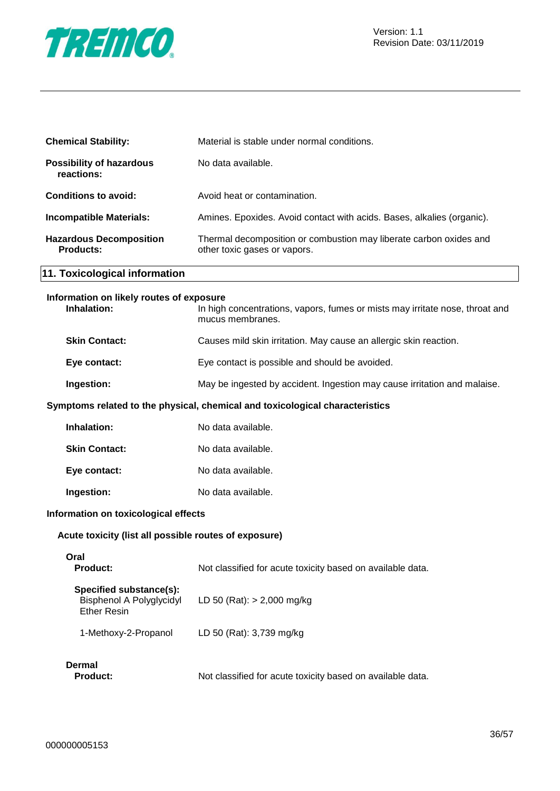

| <b>Chemical Stability:</b>                         | Material is stable under normal conditions.                                                        |
|----------------------------------------------------|----------------------------------------------------------------------------------------------------|
| <b>Possibility of hazardous</b><br>reactions:      | No data available.                                                                                 |
| <b>Conditions to avoid:</b>                        | Avoid heat or contamination.                                                                       |
| <b>Incompatible Materials:</b>                     | Amines. Epoxides. Avoid contact with acids. Bases, alkalies (organic).                             |
| <b>Hazardous Decomposition</b><br><b>Products:</b> | Thermal decomposition or combustion may liberate carbon oxides and<br>other toxic gases or vapors. |

## **11. Toxicological information**

## **Information on likely routes of exposure**

| Inhalation:          | In high concentrations, vapors, fumes or mists may irritate nose, throat and<br>mucus membranes. |
|----------------------|--------------------------------------------------------------------------------------------------|
| <b>Skin Contact:</b> | Causes mild skin irritation. May cause an allergic skin reaction.                                |
| Eye contact:         | Eye contact is possible and should be avoided.                                                   |
| Ingestion:           | May be ingested by accident. Ingestion may cause irritation and malaise.                         |

#### **Symptoms related to the physical, chemical and toxicological characteristics**

| Inhalation:          | No data available. |
|----------------------|--------------------|
| <b>Skin Contact:</b> | No data available. |
| Eye contact:         | No data available. |
| Ingestion:           | No data available. |

#### **Information on toxicological effects**

#### **Acute toxicity (list all possible routes of exposure)**

| Oral<br><b>Product:</b>                                                   | Not classified for acute toxicity based on available data. |
|---------------------------------------------------------------------------|------------------------------------------------------------|
| Specified substance(s):<br>Bisphenol A Polyglycidyl<br><b>Ether Resin</b> | LD 50 (Rat): $> 2,000$ mg/kg                               |
| 1-Methoxy-2-Propanol                                                      | LD 50 (Rat): 3,739 mg/kg                                   |
| Dermal<br><b>Product:</b>                                                 | Not classified for acute toxicity based on available data. |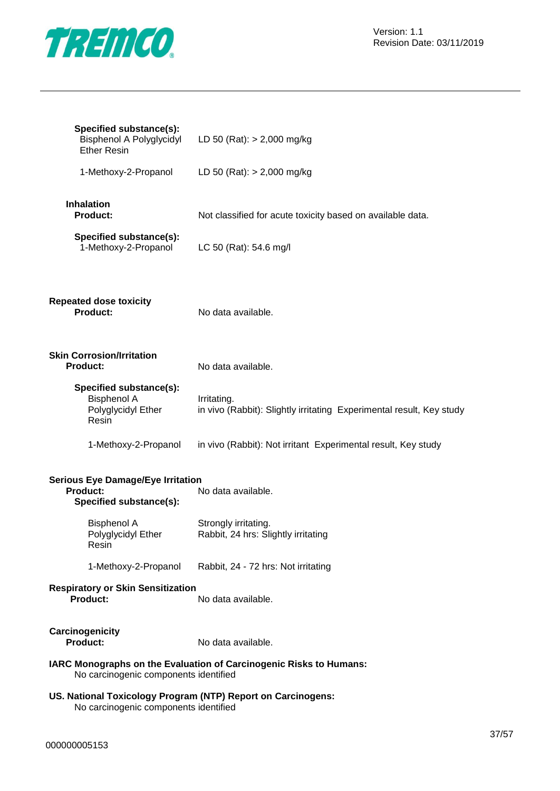

| Specified substance(s):<br>Bisphenol A Polyglycidyl<br><b>Ether Resin</b>                             | LD 50 (Rat): $> 2,000$ mg/kg                                                        |
|-------------------------------------------------------------------------------------------------------|-------------------------------------------------------------------------------------|
| 1-Methoxy-2-Propanol                                                                                  | LD 50 (Rat): $> 2,000$ mg/kg                                                        |
| <b>Inhalation</b><br>Product:                                                                         | Not classified for acute toxicity based on available data.                          |
| Specified substance(s):<br>1-Methoxy-2-Propanol                                                       | LC 50 (Rat): 54.6 mg/l                                                              |
| <b>Repeated dose toxicity</b><br><b>Product:</b>                                                      | No data available.                                                                  |
| <b>Skin Corrosion/Irritation</b><br><b>Product:</b>                                                   | No data available.                                                                  |
| Specified substance(s):<br><b>Bisphenol A</b><br>Polyglycidyl Ether<br>Resin                          | Irritating.<br>in vivo (Rabbit): Slightly irritating Experimental result, Key study |
| 1-Methoxy-2-Propanol                                                                                  | in vivo (Rabbit): Not irritant Experimental result, Key study                       |
| <b>Serious Eye Damage/Eye Irritation</b><br><b>Product:</b><br>Specified substance(s):                | No data available.                                                                  |
| <b>Bisphenol A</b><br>Polyglycidyl Ether<br>Resin                                                     | Strongly irritating.<br>Rabbit, 24 hrs: Slightly irritating                         |
| 1-Methoxy-2-Propanol                                                                                  | Rabbit, 24 - 72 hrs: Not irritating                                                 |
| <b>Respiratory or Skin Sensitization</b><br><b>Product:</b>                                           | No data available.                                                                  |
| Carcinogenicity<br><b>Product:</b>                                                                    | No data available.                                                                  |
| No carcinogenic components identified                                                                 | IARC Monographs on the Evaluation of Carcinogenic Risks to Humans:                  |
| US. National Toxicology Program (NTP) Report on Carcinogens:<br>No carcinogenic components identified |                                                                                     |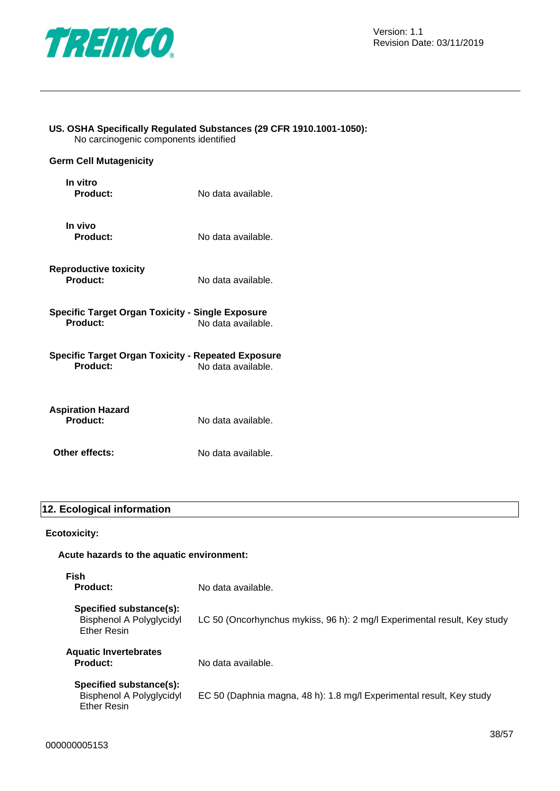

## **US. OSHA Specifically Regulated Substances (29 CFR 1910.1001-1050):**

No carcinogenic components identified

## **Germ Cell Mutagenicity**

| In vitro<br><b>Product:</b>                                                  | No data available. |
|------------------------------------------------------------------------------|--------------------|
| In vivo<br><b>Product:</b>                                                   | No data available. |
| <b>Reproductive toxicity</b><br>Product:                                     | No data available. |
| Specific Target Organ Toxicity - Single Exposure<br>Product:                 | No data available. |
| <b>Specific Target Organ Toxicity - Repeated Exposure</b><br><b>Product:</b> | No data available. |
| <b>Aspiration Hazard</b>                                                     |                    |

| <b>Product:</b> | No data available. |
|-----------------|--------------------|
|                 |                    |

**Other effects:** No data available.

### **12. Ecological information**

### **Ecotoxicity:**

| uuluaiuily.                                                                      |                                                                          |
|----------------------------------------------------------------------------------|--------------------------------------------------------------------------|
| Acute hazards to the aquatic environment:                                        |                                                                          |
| Fish<br><b>Product:</b>                                                          | No data available.                                                       |
| Specified substance(s):<br><b>Bisphenol A Polyglycidyl</b><br><b>Ether Resin</b> | LC 50 (Oncorhynchus mykiss, 96 h): 2 mg/l Experimental result, Key study |
| <b>Aquatic Invertebrates</b><br><b>Product:</b>                                  | No data available.                                                       |
| Specified substance(s):<br>Bisphenol A Polyglycidyl<br><b>Ether Resin</b>        | EC 50 (Daphnia magna, 48 h): 1.8 mg/l Experimental result, Key study     |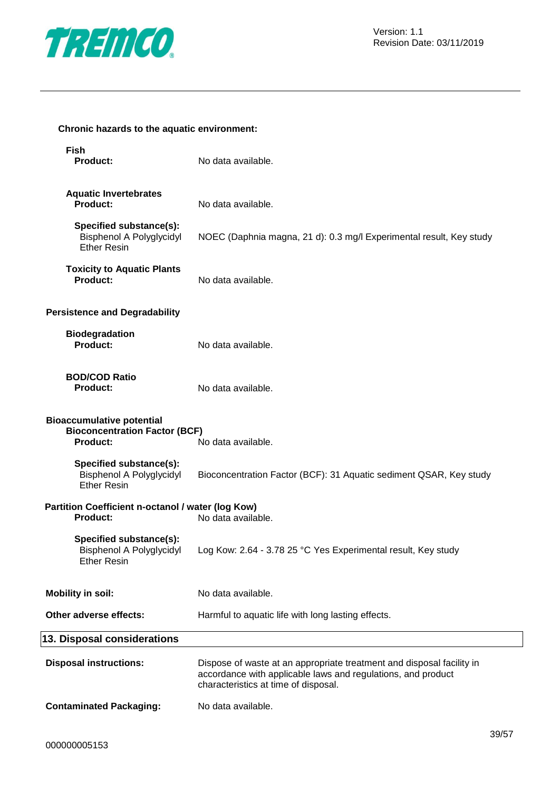

## **Chronic hazards to the aquatic environment:**

| Fish<br><b>Product:</b>                                                                     | No data available.                                                                                                                                                            |
|---------------------------------------------------------------------------------------------|-------------------------------------------------------------------------------------------------------------------------------------------------------------------------------|
| <b>Aquatic Invertebrates</b><br><b>Product:</b>                                             | No data available.                                                                                                                                                            |
| Specified substance(s):<br>Bisphenol A Polyglycidyl<br><b>Ether Resin</b>                   | NOEC (Daphnia magna, 21 d): 0.3 mg/l Experimental result, Key study                                                                                                           |
| <b>Toxicity to Aquatic Plants</b><br><b>Product:</b>                                        | No data available.                                                                                                                                                            |
| <b>Persistence and Degradability</b>                                                        |                                                                                                                                                                               |
| <b>Biodegradation</b><br><b>Product:</b>                                                    | No data available.                                                                                                                                                            |
| <b>BOD/COD Ratio</b><br>Product:                                                            | No data available.                                                                                                                                                            |
| <b>Bioaccumulative potential</b><br><b>Bioconcentration Factor (BCF)</b><br><b>Product:</b> | No data available.                                                                                                                                                            |
| Specified substance(s):<br><b>Bisphenol A Polyglycidyl</b><br><b>Ether Resin</b>            | Bioconcentration Factor (BCF): 31 Aquatic sediment QSAR, Key study                                                                                                            |
| Partition Coefficient n-octanol / water (log Kow)<br><b>Product:</b>                        | No data available.                                                                                                                                                            |
| Specified substance(s):<br><b>Bisphenol A Polyglycidyl</b><br>Ether Resin                   | Log Kow: 2.64 - 3.78 25 °C Yes Experimental result, Key study                                                                                                                 |
| <b>Mobility in soil:</b>                                                                    | No data available.                                                                                                                                                            |
| Other adverse effects:                                                                      | Harmful to aquatic life with long lasting effects.                                                                                                                            |
| 13. Disposal considerations                                                                 |                                                                                                                                                                               |
| <b>Disposal instructions:</b>                                                               | Dispose of waste at an appropriate treatment and disposal facility in<br>accordance with applicable laws and regulations, and product<br>characteristics at time of disposal. |
| <b>Contaminated Packaging:</b>                                                              | No data available.                                                                                                                                                            |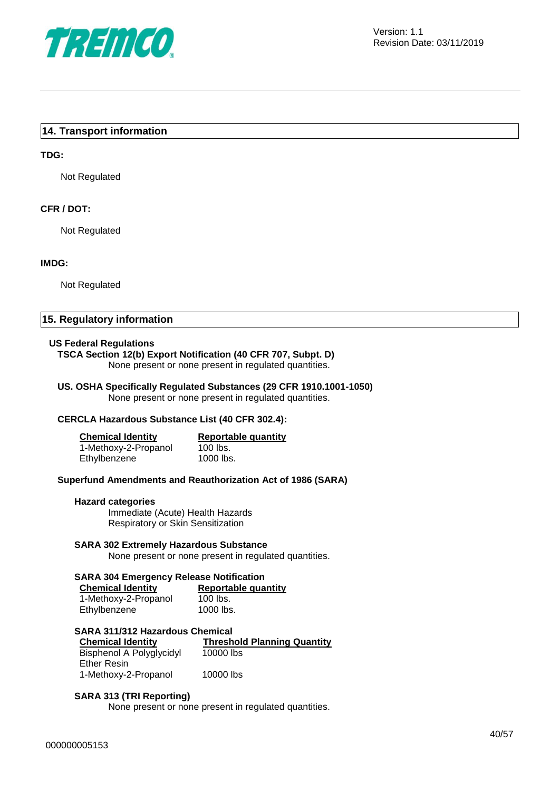

#### **14. Transport information**

#### **TDG:**

Not Regulated

#### **CFR / DOT:**

Not Regulated

#### **IMDG:**

Not Regulated

#### **15. Regulatory information**

#### **US Federal Regulations**

## **TSCA Section 12(b) Export Notification (40 CFR 707, Subpt. D)**

None present or none present in regulated quantities.

#### **US. OSHA Specifically Regulated Substances (29 CFR 1910.1001-1050)** None present or none present in regulated quantities.

#### **CERCLA Hazardous Substance List (40 CFR 302.4):**

| <b>Chemical Identity</b> | Reportable quantity |
|--------------------------|---------------------|
| 1-Methoxy-2-Propanol     | $100$ lbs.          |
| Ethylbenzene             | 1000 lbs.           |

#### **Superfund Amendments and Reauthorization Act of 1986 (SARA)**

#### **Hazard categories**

Immediate (Acute) Health Hazards Respiratory or Skin Sensitization

#### **SARA 302 Extremely Hazardous Substance**

None present or none present in regulated quantities.

#### **SARA 304 Emergency Release Notification**

| <b>Chemical Identity</b> | <b>Reportable quantity</b> |  |
|--------------------------|----------------------------|--|
| 1-Methoxy-2-Propanol     | $100$ lbs.                 |  |
| Ethylbenzene             | 1000 lbs.                  |  |

#### **SARA 311/312 Hazardous Chemical**

**Chemical Identity Threshold Planning Quantity** Bisphenol A Polyglycidyl Ether Resin 10000 lbs 1-Methoxy-2-Propanol 10000 lbs

#### **SARA 313 (TRI Reporting)**

None present or none present in regulated quantities.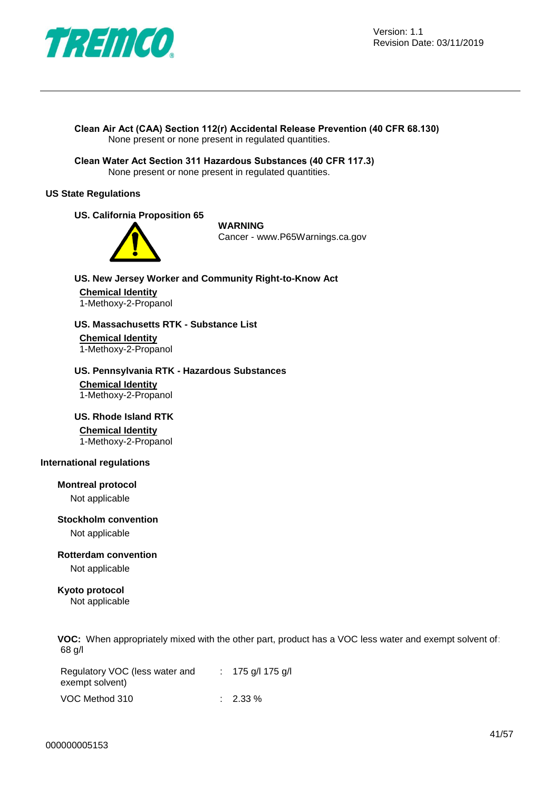

Version: 1.1 Revision Date: 03/11/2019

**Clean Air Act (CAA) Section 112(r) Accidental Release Prevention (40 CFR 68.130)** None present or none present in regulated quantities.

**Clean Water Act Section 311 Hazardous Substances (40 CFR 117.3)** None present or none present in regulated quantities.

#### **US State Regulations**

## **US. California Proposition 65**



#### **WARNING**

Cancer - www.P65Warnings.ca.gov

**US. New Jersey Worker and Community Right-to-Know Act Chemical Identity** 1-Methoxy-2-Propanol

**US. Massachusetts RTK - Substance List Chemical Identity** 1-Methoxy-2-Propanol

**US. Pennsylvania RTK - Hazardous Substances Chemical Identity** 1-Methoxy-2-Propanol

**US. Rhode Island RTK Chemical Identity**

1-Methoxy-2-Propanol

#### **International regulations**

#### **Montreal protocol**

Not applicable

## **Stockholm convention**

Not applicable

#### **Rotterdam convention**

Not applicable

#### **Kyoto protocol** Not applicable

**VOC:** When appropriately mixed with the other part, product has a VOC less water and exempt solvent of: 68 g/l

| Regulatory VOC (less water and<br>exempt solvent) | : 175 g/l 175 g/l   |
|---------------------------------------------------|---------------------|
| VOC Method 310                                    | $\therefore$ 2.33 % |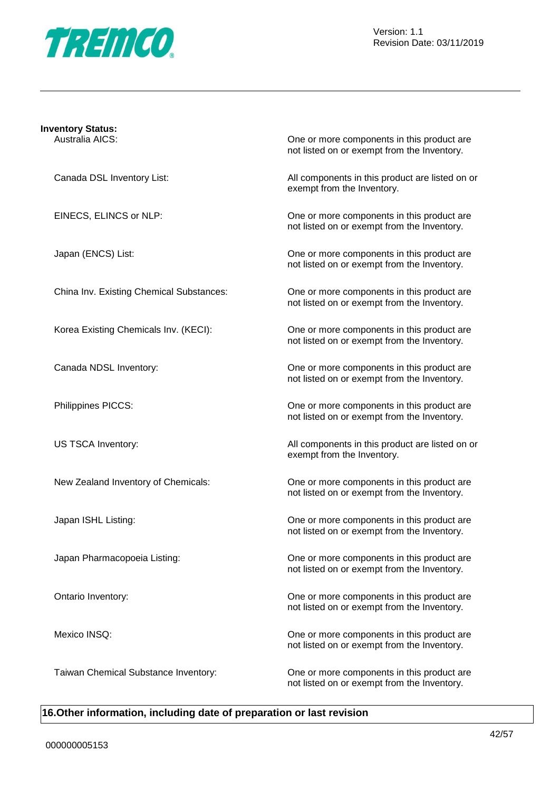

| <b>Inventory Status:</b><br>Australia AICS: |                                          | One or more components in this product are<br>not listed on or exempt from the Inventory. |
|---------------------------------------------|------------------------------------------|-------------------------------------------------------------------------------------------|
| Canada DSL Inventory List:                  |                                          | All components in this product are listed on or<br>exempt from the Inventory.             |
| EINECS, ELINCS or NLP:                      |                                          | One or more components in this product are<br>not listed on or exempt from the Inventory. |
| Japan (ENCS) List:                          |                                          | One or more components in this product are<br>not listed on or exempt from the Inventory. |
|                                             | China Inv. Existing Chemical Substances: | One or more components in this product are<br>not listed on or exempt from the Inventory. |
|                                             | Korea Existing Chemicals Inv. (KECI):    | One or more components in this product are<br>not listed on or exempt from the Inventory. |
| Canada NDSL Inventory:                      |                                          | One or more components in this product are<br>not listed on or exempt from the Inventory. |
| Philippines PICCS:                          |                                          | One or more components in this product are<br>not listed on or exempt from the Inventory. |
| US TSCA Inventory:                          |                                          | All components in this product are listed on or<br>exempt from the Inventory.             |
|                                             | New Zealand Inventory of Chemicals:      | One or more components in this product are<br>not listed on or exempt from the Inventory. |
| Japan ISHL Listing:                         |                                          | One or more components in this product are<br>not listed on or exempt from the Inventory. |
| Japan Pharmacopoeia Listing:                |                                          | One or more components in this product are<br>not listed on or exempt from the Inventory. |
| Ontario Inventory:                          |                                          | One or more components in this product are<br>not listed on or exempt from the Inventory. |
| Mexico INSQ:                                |                                          | One or more components in this product are<br>not listed on or exempt from the Inventory. |
|                                             | Taiwan Chemical Substance Inventory:     | One or more components in this product are<br>not listed on or exempt from the Inventory. |

## **16.Other information, including date of preparation or last revision**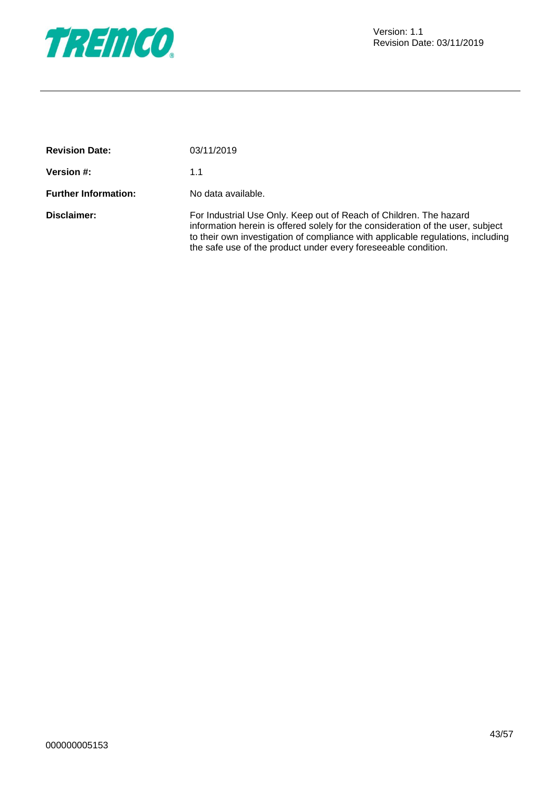

| <b>Revision Date:</b>       | 03/11/2019                                                                                                                                                                                                                                                                                                 |
|-----------------------------|------------------------------------------------------------------------------------------------------------------------------------------------------------------------------------------------------------------------------------------------------------------------------------------------------------|
| <b>Version #:</b>           | 1.1                                                                                                                                                                                                                                                                                                        |
| <b>Further Information:</b> | No data available.                                                                                                                                                                                                                                                                                         |
| Disclaimer:                 | For Industrial Use Only. Keep out of Reach of Children. The hazard<br>information herein is offered solely for the consideration of the user, subject<br>to their own investigation of compliance with applicable regulations, including<br>the safe use of the product under every foreseeable condition. |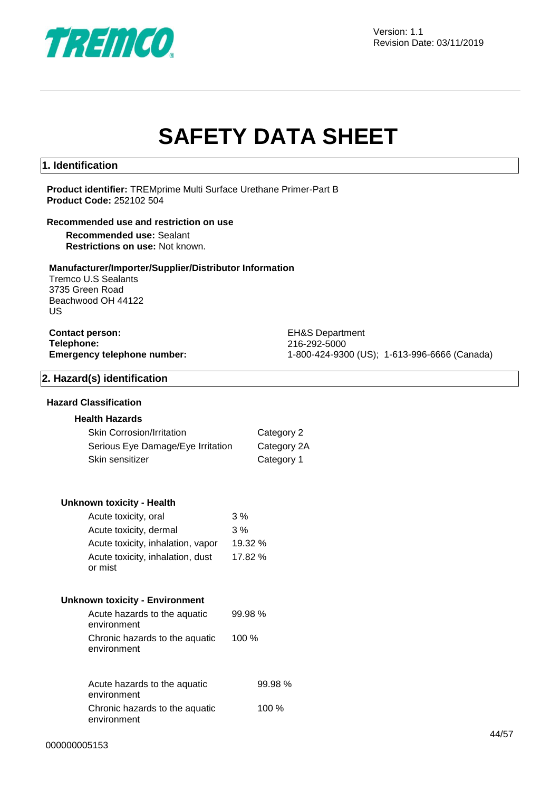

Version: 1.1 Revision Date: 03/11/2019

# **SAFETY DATA SHEET**

#### **1. Identification**

**Product identifier:** TREMprime Multi Surface Urethane Primer-Part B **Product Code:** 252102 504

#### **Recommended use and restriction on use**

**Recommended use:** Sealant **Restrictions on use:** Not known.

#### **Manufacturer/Importer/Supplier/Distributor Information**

Tremco U.S Sealants 3735 Green Road Beachwood OH 44122 US

| <b>Contact person:</b>             |  |
|------------------------------------|--|
| Telephone:                         |  |
| <b>Emergency telephone number:</b> |  |

**Contact person:** EH&S Department **Telephone:** 216-292-5000 **Emergency telephone number:** 1-800-424-9300 (US); 1-613-996-6666 (Canada)

#### **2. Hazard(s) identification**

#### **Hazard Classification**

#### **Health Hazards**

| <b>Skin Corrosion/Irritation</b>  | Category 2  |
|-----------------------------------|-------------|
| Serious Eye Damage/Eye Irritation | Category 2A |
| Skin sensitizer                   | Category 1  |

#### **Unknown toxicity - Health**

| Acute toxicity, oral                        | 3%      |
|---------------------------------------------|---------|
| Acute toxicity, dermal                      | 3%      |
| Acute toxicity, inhalation, vapor           | 19.32 % |
| Acute toxicity, inhalation, dust<br>or mist | 17.82 % |

#### **Unknown toxicity - Environment**

| Acute hazards to the aquatic<br>environment   | 99.98%  |
|-----------------------------------------------|---------|
| Chronic hazards to the aquatic<br>environment | 100 $%$ |

| Acute hazards to the aquatic   | 99.98% |
|--------------------------------|--------|
| environment                    |        |
| Chronic hazards to the aquatic | 100%   |
| environment                    |        |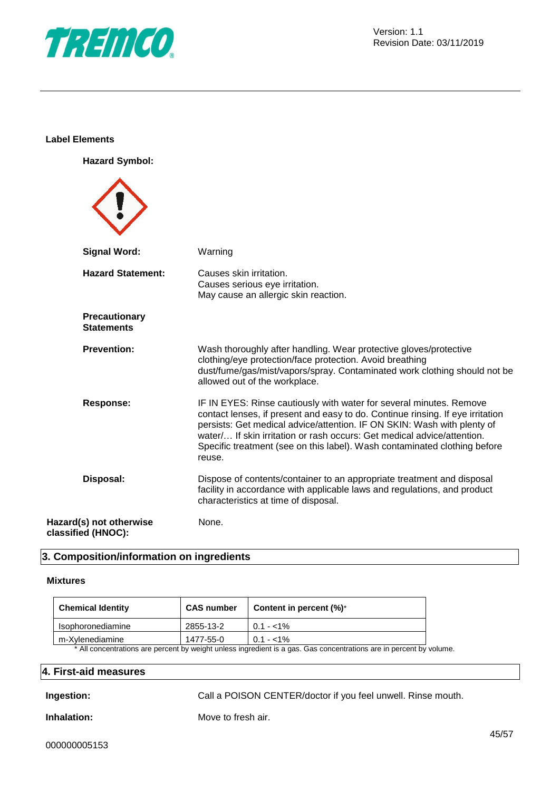

#### **Label Elements**

**Hazard Symbol:**

| <b>Signal Word:</b>                           | Warning                                                                                                                                                                                                                                                                                                                                                                                           |
|-----------------------------------------------|---------------------------------------------------------------------------------------------------------------------------------------------------------------------------------------------------------------------------------------------------------------------------------------------------------------------------------------------------------------------------------------------------|
| <b>Hazard Statement:</b>                      | Causes skin irritation.<br>Causes serious eye irritation.<br>May cause an allergic skin reaction.                                                                                                                                                                                                                                                                                                 |
| <b>Precautionary</b><br><b>Statements</b>     |                                                                                                                                                                                                                                                                                                                                                                                                   |
| <b>Prevention:</b>                            | Wash thoroughly after handling. Wear protective gloves/protective<br>clothing/eye protection/face protection. Avoid breathing<br>dust/fume/gas/mist/vapors/spray. Contaminated work clothing should not be<br>allowed out of the workplace.                                                                                                                                                       |
| Response:                                     | IF IN EYES: Rinse cautiously with water for several minutes. Remove<br>contact lenses, if present and easy to do. Continue rinsing. If eye irritation<br>persists: Get medical advice/attention. IF ON SKIN: Wash with plenty of<br>water If skin irritation or rash occurs: Get medical advice/attention.<br>Specific treatment (see on this label). Wash contaminated clothing before<br>reuse. |
| Disposal:                                     | Dispose of contents/container to an appropriate treatment and disposal<br>facility in accordance with applicable laws and regulations, and product<br>characteristics at time of disposal.                                                                                                                                                                                                        |
| Hazard(s) not otherwise<br>classified (HNOC): | None.                                                                                                                                                                                                                                                                                                                                                                                             |

#### **3. Composition/information on ingredients**

#### **Mixtures**

| <b>Chemical Identity</b>                                                                                         | <b>CAS number</b> | <b>Content in percent <math>(\%)^*</math></b> |  |
|------------------------------------------------------------------------------------------------------------------|-------------------|-----------------------------------------------|--|
| Isophoronediamine                                                                                                | 2855-13-2         | $0.1 - 1\%$                                   |  |
| m-Xvlenediamine                                                                                                  | 1477-55-0         | $0.1 - 1\%$                                   |  |
| * All concentrations are persont by woight upless ingradiant is a gas. Cas concentrations are in persont by volu |                   |                                               |  |

All concentrations are percent by weight unless ingredient is a gas. Gas concentrations are in percent by volume.

## **4. First-aid measures**

**Ingestion:** Call a POISON CENTER/doctor if you feel unwell. Rinse mouth.

**Inhalation:** Move to fresh air.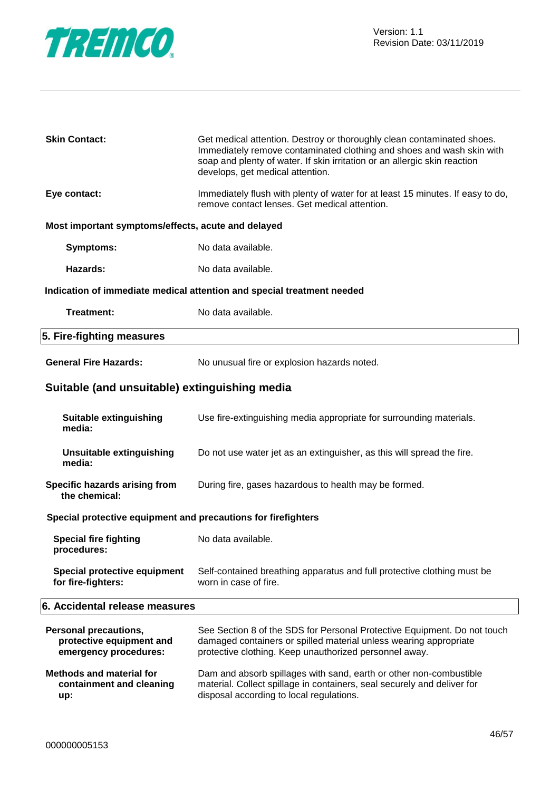

| <b>Skin Contact:</b>                                                       | Get medical attention. Destroy or thoroughly clean contaminated shoes.<br>Immediately remove contaminated clothing and shoes and wash skin with<br>soap and plenty of water. If skin irritation or an allergic skin reaction<br>develops, get medical attention. |
|----------------------------------------------------------------------------|------------------------------------------------------------------------------------------------------------------------------------------------------------------------------------------------------------------------------------------------------------------|
| Eye contact:                                                               | Immediately flush with plenty of water for at least 15 minutes. If easy to do,<br>remove contact lenses. Get medical attention.                                                                                                                                  |
| Most important symptoms/effects, acute and delayed                         |                                                                                                                                                                                                                                                                  |
| <b>Symptoms:</b>                                                           | No data available.                                                                                                                                                                                                                                               |
| Hazards:                                                                   | No data available.                                                                                                                                                                                                                                               |
|                                                                            | Indication of immediate medical attention and special treatment needed                                                                                                                                                                                           |
| Treatment:                                                                 | No data available.                                                                                                                                                                                                                                               |
| 5. Fire-fighting measures                                                  |                                                                                                                                                                                                                                                                  |
| <b>General Fire Hazards:</b>                                               | No unusual fire or explosion hazards noted.                                                                                                                                                                                                                      |
| Suitable (and unsuitable) extinguishing media                              |                                                                                                                                                                                                                                                                  |
| <b>Suitable extinguishing</b><br>media:                                    | Use fire-extinguishing media appropriate for surrounding materials.                                                                                                                                                                                              |
| <b>Unsuitable extinguishing</b><br>media:                                  | Do not use water jet as an extinguisher, as this will spread the fire.                                                                                                                                                                                           |
| Specific hazards arising from<br>the chemical:                             | During fire, gases hazardous to health may be formed.                                                                                                                                                                                                            |
| Special protective equipment and precautions for firefighters              |                                                                                                                                                                                                                                                                  |
| <b>Special fire fighting</b><br>procedures:                                | No data available.                                                                                                                                                                                                                                               |
| Special protective equipment<br>for fire-fighters:                         | Self-contained breathing apparatus and full protective clothing must be<br>worn in case of fire.                                                                                                                                                                 |
| 6. Accidental release measures                                             |                                                                                                                                                                                                                                                                  |
| Personal precautions,<br>protective equipment and<br>emergency procedures: | See Section 8 of the SDS for Personal Protective Equipment. Do not touch<br>damaged containers or spilled material unless wearing appropriate<br>protective clothing. Keep unauthorized personnel away.                                                          |
| <b>Methods and material for</b>                                            | Dam and absorb spillages with sand, earth or other non-combustible                                                                                                                                                                                               |

**containment and cleaning**  Dam and absorb spillages with sand, earth or other non-combustible material. Collect spillage in containers, seal securely and deliver for disposal according to local regulations.

**up:**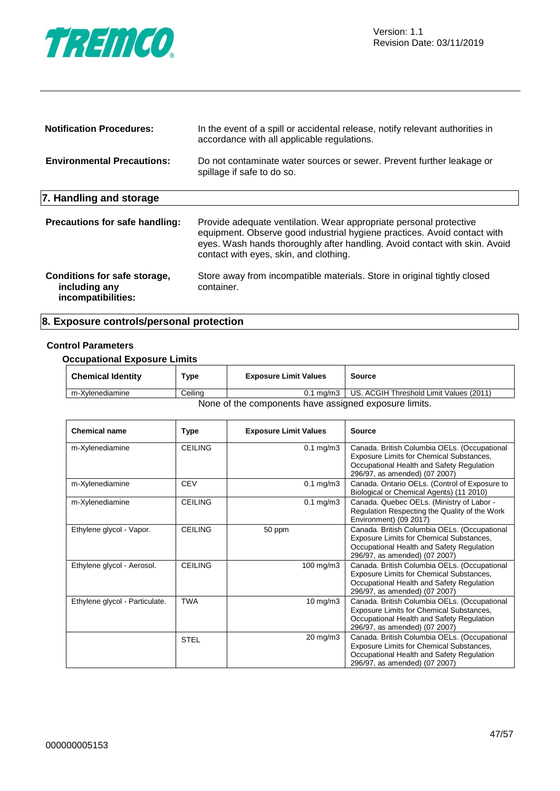

| <b>Notification Procedures:</b>                                     | In the event of a spill or accidental release, notify relevant authorities in<br>accordance with all applicable regulations.                                                                                                                                           |
|---------------------------------------------------------------------|------------------------------------------------------------------------------------------------------------------------------------------------------------------------------------------------------------------------------------------------------------------------|
| <b>Environmental Precautions:</b>                                   | Do not contaminate water sources or sewer. Prevent further leakage or<br>spillage if safe to do so.                                                                                                                                                                    |
| 7. Handling and storage                                             |                                                                                                                                                                                                                                                                        |
| <b>Precautions for safe handling:</b>                               | Provide adequate ventilation. Wear appropriate personal protective<br>equipment. Observe good industrial hygiene practices. Avoid contact with<br>eyes. Wash hands thoroughly after handling. Avoid contact with skin. Avoid<br>contact with eyes, skin, and clothing. |
| Conditions for safe storage,<br>including any<br>incompatibilities: | Store away from incompatible materials. Store in original tightly closed<br>container.                                                                                                                                                                                 |

## **8. Exposure controls/personal protection**

#### **Control Parameters**

#### **Occupational Exposure Limits**

| <b>Chemical Identity</b>                              | Type    | <b>Exposure Limit Values</b> | Source                                              |
|-------------------------------------------------------|---------|------------------------------|-----------------------------------------------------|
| m-Xvlenediamine                                       | Ceilina |                              | 0.1 mg/m3   US. ACGIH Threshold Limit Values (2011) |
| None of the components have assigned exposure limits. |         |                              |                                                     |

| <b>Chemical name</b>           | Type           | <b>Exposure Limit Values</b> | <b>Source</b>                                                                                                                                                          |
|--------------------------------|----------------|------------------------------|------------------------------------------------------------------------------------------------------------------------------------------------------------------------|
| m-Xylenediamine                | <b>CEILING</b> | $0.1$ mg/m $3$               | Canada. British Columbia OELs. (Occupational<br>Exposure Limits for Chemical Substances,<br>Occupational Health and Safety Regulation<br>296/97, as amended) (07 2007) |
| m-Xylenediamine                | <b>CEV</b>     | $0.1 \text{ mg/m}$ 3         | Canada. Ontario OELs. (Control of Exposure to<br>Biological or Chemical Agents) (11 2010)                                                                              |
| m-Xylenediamine                | <b>CEILING</b> | $0.1 \text{ mg/m}$ 3         | Canada. Quebec OELs. (Ministry of Labor -<br>Regulation Respecting the Quality of the Work<br>Environment) (09 2017)                                                   |
| Ethylene glycol - Vapor.       | <b>CEILING</b> | 50 ppm                       | Canada. British Columbia OELs. (Occupational<br>Exposure Limits for Chemical Substances,<br>Occupational Health and Safety Regulation<br>296/97, as amended) (07 2007) |
| Ethylene glycol - Aerosol.     | <b>CEILING</b> | $100$ mg/m $3$               | Canada. British Columbia OELs. (Occupational<br>Exposure Limits for Chemical Substances,<br>Occupational Health and Safety Regulation<br>296/97, as amended) (07 2007) |
| Ethylene glycol - Particulate. | <b>TWA</b>     | $10 \text{ mg/m}$            | Canada. British Columbia OELs. (Occupational<br>Exposure Limits for Chemical Substances,<br>Occupational Health and Safety Regulation<br>296/97, as amended) (07 2007) |
|                                | <b>STEL</b>    | $20 \text{ mg/m}$ 3          | Canada. British Columbia OELs. (Occupational<br>Exposure Limits for Chemical Substances,<br>Occupational Health and Safety Regulation<br>296/97, as amended) (07 2007) |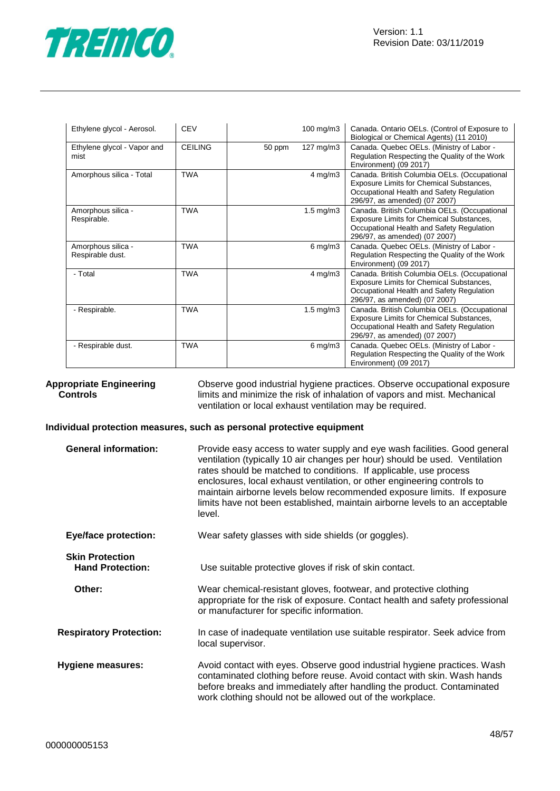

| Ethylene glycol - Aerosol.             | <b>CEV</b>     |        | 100 mg/m3            | Canada. Ontario OELs. (Control of Exposure to<br>Biological or Chemical Agents) (11 2010)                                                                              |
|----------------------------------------|----------------|--------|----------------------|------------------------------------------------------------------------------------------------------------------------------------------------------------------------|
| Ethylene glycol - Vapor and<br>mist    | <b>CEILING</b> | 50 ppm | 127 mg/m3            | Canada. Quebec OELs. (Ministry of Labor -<br>Regulation Respecting the Quality of the Work<br>Environment) (09 2017)                                                   |
| Amorphous silica - Total               | <b>TWA</b>     |        | $4 \text{ mg/m}$ 3   | Canada. British Columbia OELs. (Occupational<br>Exposure Limits for Chemical Substances,<br>Occupational Health and Safety Regulation<br>296/97, as amended) (07 2007) |
| Amorphous silica -<br>Respirable.      | <b>TWA</b>     |        | $1.5 \text{ mg/m}$ 3 | Canada. British Columbia OELs. (Occupational<br>Exposure Limits for Chemical Substances,<br>Occupational Health and Safety Regulation<br>296/97, as amended) (07 2007) |
| Amorphous silica -<br>Respirable dust. | <b>TWA</b>     |        | $6 \,\mathrm{mg/m3}$ | Canada. Quebec OELs. (Ministry of Labor -<br>Regulation Respecting the Quality of the Work<br>Environment) (09 2017)                                                   |
| - Total                                | <b>TWA</b>     |        | $4$ mg/m $3$         | Canada. British Columbia OELs. (Occupational<br>Exposure Limits for Chemical Substances,<br>Occupational Health and Safety Regulation<br>296/97, as amended) (07 2007) |
| - Respirable.                          | <b>TWA</b>     |        | $1.5 \text{ mg/m}$ 3 | Canada. British Columbia OELs. (Occupational<br>Exposure Limits for Chemical Substances,<br>Occupational Health and Safety Regulation<br>296/97, as amended) (07 2007) |
| - Respirable dust.                     | <b>TWA</b>     |        | $6$ mg/m $3$         | Canada. Quebec OELs. (Ministry of Labor -<br>Regulation Respecting the Quality of the Work<br>Environment) (09 2017)                                                   |

|                 | <b>Appropriate Engineering</b> |
|-----------------|--------------------------------|
| <b>Controls</b> |                                |

Observe good industrial hygiene practices. Observe occupational exposure limits and minimize the risk of inhalation of vapors and mist. Mechanical ventilation or local exhaust ventilation may be required.

#### **Individual protection measures, such as personal protective equipment**

| <b>General information:</b>                       | Provide easy access to water supply and eye wash facilities. Good general<br>ventilation (typically 10 air changes per hour) should be used. Ventilation<br>rates should be matched to conditions. If applicable, use process<br>enclosures, local exhaust ventilation, or other engineering controls to<br>maintain airborne levels below recommended exposure limits. If exposure<br>limits have not been established, maintain airborne levels to an acceptable<br>level. |
|---------------------------------------------------|------------------------------------------------------------------------------------------------------------------------------------------------------------------------------------------------------------------------------------------------------------------------------------------------------------------------------------------------------------------------------------------------------------------------------------------------------------------------------|
| <b>Eye/face protection:</b>                       | Wear safety glasses with side shields (or goggles).                                                                                                                                                                                                                                                                                                                                                                                                                          |
| <b>Skin Protection</b><br><b>Hand Protection:</b> | Use suitable protective gloves if risk of skin contact.                                                                                                                                                                                                                                                                                                                                                                                                                      |
| Other:                                            | Wear chemical-resistant gloves, footwear, and protective clothing<br>appropriate for the risk of exposure. Contact health and safety professional<br>or manufacturer for specific information.                                                                                                                                                                                                                                                                               |
| <b>Respiratory Protection:</b>                    | In case of inadequate ventilation use suitable respirator. Seek advice from<br>local supervisor.                                                                                                                                                                                                                                                                                                                                                                             |
| <b>Hygiene measures:</b>                          | Avoid contact with eyes. Observe good industrial hygiene practices. Wash<br>contaminated clothing before reuse. Avoid contact with skin. Wash hands<br>before breaks and immediately after handling the product. Contaminated<br>work clothing should not be allowed out of the workplace.                                                                                                                                                                                   |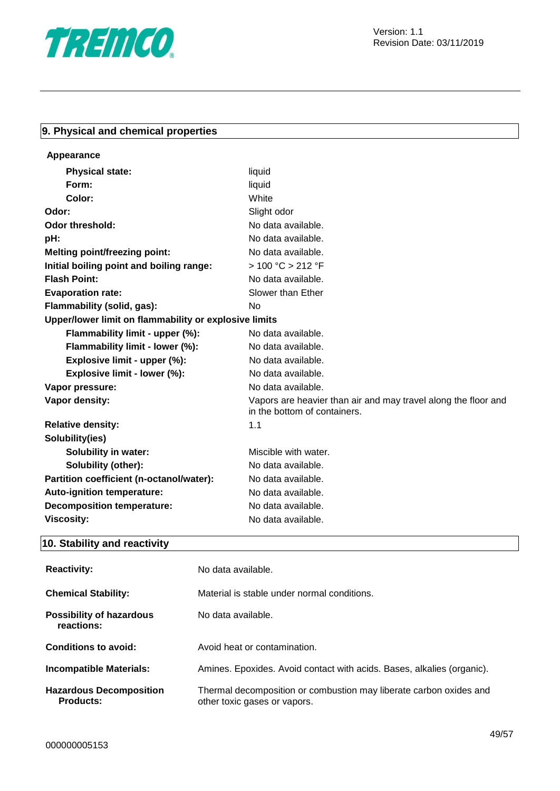

## **9. Physical and chemical properties**

| liquid                                                                                         |  |  |
|------------------------------------------------------------------------------------------------|--|--|
| liquid                                                                                         |  |  |
| White                                                                                          |  |  |
| Slight odor                                                                                    |  |  |
| No data available.                                                                             |  |  |
| No data available.                                                                             |  |  |
| No data available.                                                                             |  |  |
| > 100 °C > 212 °F                                                                              |  |  |
| No data available.                                                                             |  |  |
| Slower than Ether                                                                              |  |  |
| <b>No</b>                                                                                      |  |  |
| Upper/lower limit on flammability or explosive limits                                          |  |  |
| No data available.                                                                             |  |  |
| No data available.                                                                             |  |  |
| No data available.                                                                             |  |  |
| No data available.                                                                             |  |  |
| No data available.                                                                             |  |  |
| Vapors are heavier than air and may travel along the floor and<br>in the bottom of containers. |  |  |
| 1.1                                                                                            |  |  |
|                                                                                                |  |  |
| Miscible with water.                                                                           |  |  |
| No data available.                                                                             |  |  |
| No data available.                                                                             |  |  |
| No data available.                                                                             |  |  |
| No data available.                                                                             |  |  |
| No data available.                                                                             |  |  |
|                                                                                                |  |  |

## **10. Stability and reactivity**

| <b>Reactivity:</b>                                 | No data available.                                                                                 |
|----------------------------------------------------|----------------------------------------------------------------------------------------------------|
| <b>Chemical Stability:</b>                         | Material is stable under normal conditions.                                                        |
| Possibility of hazardous<br>reactions:             | No data available.                                                                                 |
| Conditions to avoid:                               | Avoid heat or contamination.                                                                       |
| <b>Incompatible Materials:</b>                     | Amines. Epoxides. Avoid contact with acids. Bases, alkalies (organic).                             |
| <b>Hazardous Decomposition</b><br><b>Products:</b> | Thermal decomposition or combustion may liberate carbon oxides and<br>other toxic gases or vapors. |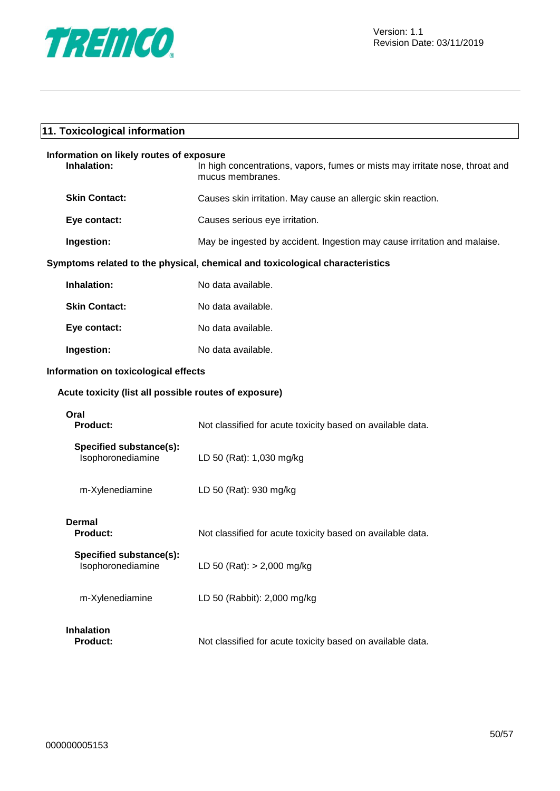

| 11. Toxicological information                           |                                                                                                  |  |
|---------------------------------------------------------|--------------------------------------------------------------------------------------------------|--|
| Information on likely routes of exposure<br>Inhalation: | In high concentrations, vapors, fumes or mists may irritate nose, throat and<br>mucus membranes. |  |
| <b>Skin Contact:</b>                                    | Causes skin irritation. May cause an allergic skin reaction.                                     |  |
| Eye contact:                                            | Causes serious eye irritation.                                                                   |  |
| Ingestion:                                              | May be ingested by accident. Ingestion may cause irritation and malaise.                         |  |
|                                                         | Symptoms related to the physical, chemical and toxicological characteristics                     |  |
| Inhalation:                                             | No data available.                                                                               |  |
| <b>Skin Contact:</b>                                    | No data available.                                                                               |  |
| Eye contact:                                            | No data available.                                                                               |  |
| Ingestion:                                              | No data available.                                                                               |  |
| Information on toxicological effects                    |                                                                                                  |  |
| Acute toxicity (list all possible routes of exposure)   |                                                                                                  |  |
| Oral<br><b>Product:</b>                                 | Not classified for acute toxicity based on available data.                                       |  |
| Specified substance(s):<br>Isophoronediamine            | LD 50 (Rat): 1,030 mg/kg                                                                         |  |
| m-Xylenediamine                                         | LD 50 (Rat): 930 mg/kg                                                                           |  |
| <b>Dermal</b><br><b>Product:</b>                        | Not classified for acute toxicity based on available data.                                       |  |
| Specified substance(s):<br>Isophoronediamine            | LD 50 (Rat): $> 2,000$ mg/kg                                                                     |  |
| m-Xylenediamine                                         | LD 50 (Rabbit): 2,000 mg/kg                                                                      |  |
| <b>Inhalation</b><br><b>Product:</b>                    | Not classified for acute toxicity based on available data.                                       |  |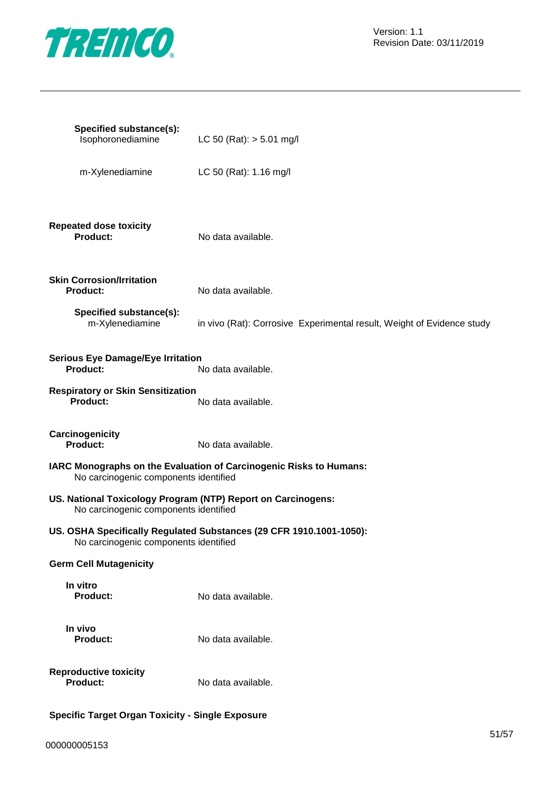

| Specified substance(s):<br>Isophoronediamine                                                          | LC 50 (Rat): $> 5.01$ mg/l                                             |
|-------------------------------------------------------------------------------------------------------|------------------------------------------------------------------------|
| m-Xylenediamine                                                                                       | LC 50 (Rat): 1.16 mg/l                                                 |
| <b>Repeated dose toxicity</b><br>Product:                                                             | No data available.                                                     |
| <b>Skin Corrosion/Irritation</b><br><b>Product:</b>                                                   | No data available.                                                     |
| Specified substance(s):<br>m-Xylenediamine                                                            | in vivo (Rat): Corrosive Experimental result, Weight of Evidence study |
| <b>Serious Eye Damage/Eye Irritation</b><br><b>Product:</b>                                           | No data available.                                                     |
| <b>Respiratory or Skin Sensitization</b><br><b>Product:</b>                                           | No data available.                                                     |
| Carcinogenicity<br><b>Product:</b>                                                                    | No data available.                                                     |
| No carcinogenic components identified                                                                 | IARC Monographs on the Evaluation of Carcinogenic Risks to Humans:     |
| US. National Toxicology Program (NTP) Report on Carcinogens:<br>No carcinogenic components identified |                                                                        |
| No carcinogenic components identified                                                                 | US. OSHA Specifically Regulated Substances (29 CFR 1910.1001-1050):    |
| <b>Germ Cell Mutagenicity</b>                                                                         |                                                                        |
| In vitro<br><b>Product:</b>                                                                           | No data available.                                                     |
| In vivo<br><b>Product:</b>                                                                            | No data available.                                                     |
| <b>Reproductive toxicity</b><br><b>Product:</b>                                                       | No data available.                                                     |
| <b>Specific Target Organ Toxicity - Single Exposure</b>                                               |                                                                        |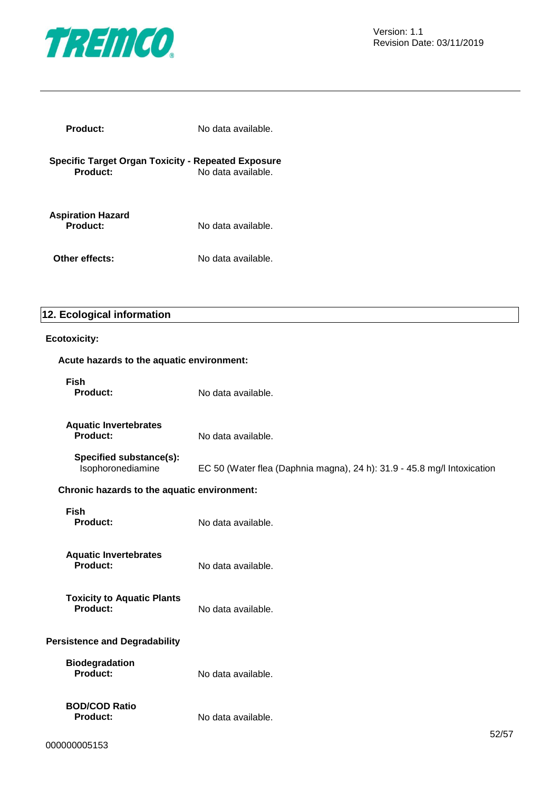

| Product:                                    | No data available.                                                              |
|---------------------------------------------|---------------------------------------------------------------------------------|
| <b>Product:</b>                             | <b>Specific Target Organ Toxicity - Repeated Exposure</b><br>No data available. |
| <b>Aspiration Hazard</b><br><b>Product:</b> | No data available.                                                              |
| Other effects:                              | No data available.                                                              |

## **12. Ecological information**

#### **Ecotoxicity:**

| Acute hazards to the aquatic environment:       |                                                                         |     |
|-------------------------------------------------|-------------------------------------------------------------------------|-----|
| <b>Fish</b><br><b>Product:</b>                  | No data available.                                                      |     |
| <b>Aquatic Invertebrates</b><br><b>Product:</b> | No data available.                                                      |     |
| Specified substance(s):<br>Isophoronediamine    | EC 50 (Water flea (Daphnia magna), 24 h): 31.9 - 45.8 mg/l Intoxication |     |
| Chronic hazards to the aquatic environment:     |                                                                         |     |
| <b>Fish</b><br><b>Product:</b>                  | No data available.                                                      |     |
| <b>Aquatic Invertebrates</b><br><b>Product:</b> | No data available.                                                      |     |
| <b>Toxicity to Aquatic Plants</b><br>Product:   | No data available.                                                      |     |
| <b>Persistence and Degradability</b>            |                                                                         |     |
| <b>Biodegradation</b><br><b>Product:</b>        | No data available.                                                      |     |
| <b>BOD/COD Ratio</b><br><b>Product:</b>         | No data available.                                                      | 52/ |
|                                                 |                                                                         |     |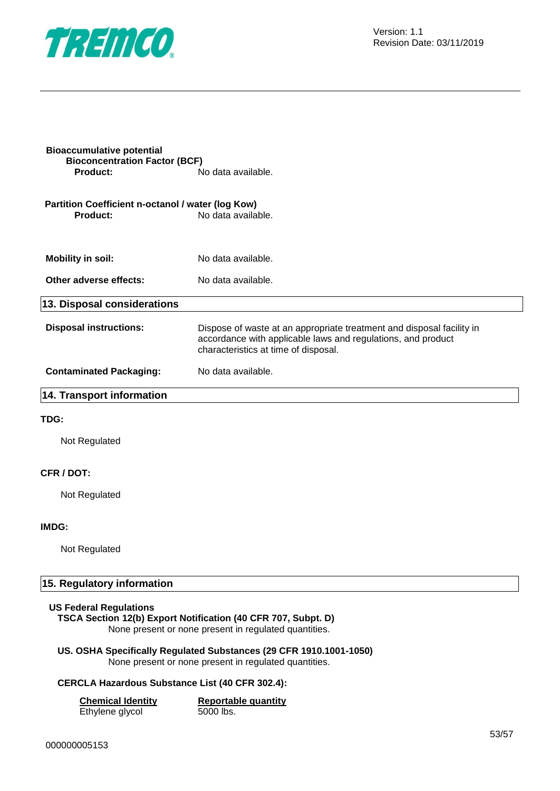

| <b>Bioaccumulative potential</b><br><b>Bioconcentration Factor (BCF)</b> |                                                                                                                                                                               |
|--------------------------------------------------------------------------|-------------------------------------------------------------------------------------------------------------------------------------------------------------------------------|
| <b>Product:</b>                                                          | No data available.                                                                                                                                                            |
| Partition Coefficient n-octanol / water (log Kow)                        |                                                                                                                                                                               |
| <b>Product:</b>                                                          | No data available.                                                                                                                                                            |
|                                                                          |                                                                                                                                                                               |
| <b>Mobility in soil:</b>                                                 | No data available.                                                                                                                                                            |
| Other adverse effects:                                                   | No data available.                                                                                                                                                            |
| 13. Disposal considerations                                              |                                                                                                                                                                               |
| <b>Disposal instructions:</b>                                            | Dispose of waste at an appropriate treatment and disposal facility in<br>accordance with applicable laws and regulations, and product<br>characteristics at time of disposal. |
| <b>Contaminated Packaging:</b>                                           | No data available.                                                                                                                                                            |
| <b>14. Transport information</b>                                         |                                                                                                                                                                               |
| TDG:                                                                     |                                                                                                                                                                               |
| Not Regulated                                                            |                                                                                                                                                                               |

#### **CFR / DOT:**

Not Regulated

#### **IMDG:**

Not Regulated

### **15. Regulatory information**

#### **US Federal Regulations**

## **TSCA Section 12(b) Export Notification (40 CFR 707, Subpt. D)**

None present or none present in regulated quantities.

#### **US. OSHA Specifically Regulated Substances (29 CFR 1910.1001-1050)** None present or none present in regulated quantities.

#### **CERCLA Hazardous Substance List (40 CFR 302.4):**

| <b>Chemical Identity</b> | <b>Reportable quantity</b> |
|--------------------------|----------------------------|
| Ethylene glycol          | 5000 lbs.                  |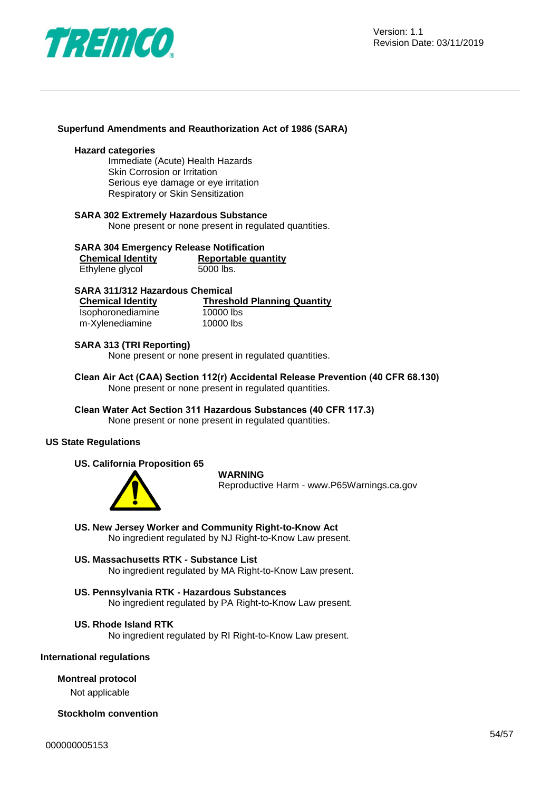

## **Superfund Amendments and Reauthorization Act of 1986 (SARA)**

#### **Hazard categories**

Immediate (Acute) Health Hazards Skin Corrosion or Irritation Serious eye damage or eye irritation Respiratory or Skin Sensitization

#### **SARA 302 Extremely Hazardous Substance**

None present or none present in regulated quantities.

## **SARA 304 Emergency Release Notification**

| <b>Chemical Identity</b> | <b>Reportable quantity</b> |
|--------------------------|----------------------------|
| Ethylene glycol          | 5000 lbs.                  |

#### **SARA 311/312 Hazardous Chemical**

| <b>Chemical Identity</b> | <b>Threshold Planning Quantity</b> |
|--------------------------|------------------------------------|
| Isophoronediamine        | 10000 lbs                          |
| m-Xylenediamine          | 10000 lbs                          |

#### **SARA 313 (TRI Reporting)**

None present or none present in regulated quantities.

**Clean Air Act (CAA) Section 112(r) Accidental Release Prevention (40 CFR 68.130)** None present or none present in regulated quantities.

#### **Clean Water Act Section 311 Hazardous Substances (40 CFR 117.3)** None present or none present in regulated quantities.

#### **US State Regulations**

#### **US. California Proposition 65**



#### **WARNING**

Reproductive Harm - www.P65Warnings.ca.gov

**US. New Jersey Worker and Community Right-to-Know Act** No ingredient regulated by NJ Right-to-Know Law present.

#### **US. Massachusetts RTK - Substance List**

No ingredient regulated by MA Right-to-Know Law present.

## **US. Pennsylvania RTK - Hazardous Substances**

No ingredient regulated by PA Right-to-Know Law present.

#### **US. Rhode Island RTK**

No ingredient regulated by RI Right-to-Know Law present.

#### **International regulations**

#### **Montreal protocol**

Not applicable

#### **Stockholm convention**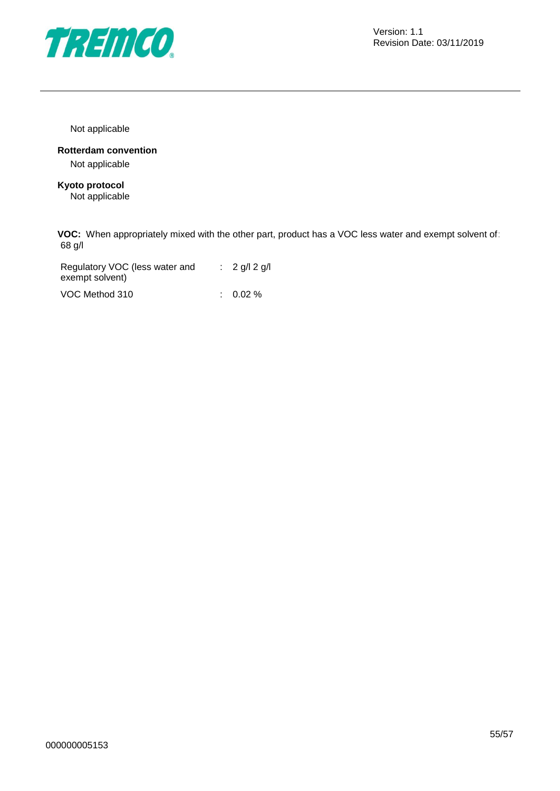

Not applicable

**Rotterdam convention** Not applicable

**Kyoto protocol** Not applicable

**VOC:** When appropriately mixed with the other part, product has a VOC less water and exempt solvent of: 68 g/l

Regulatory VOC (less water and : 2 g/l 2 g/l exempt solvent) VOC Method 310 : 0.02 %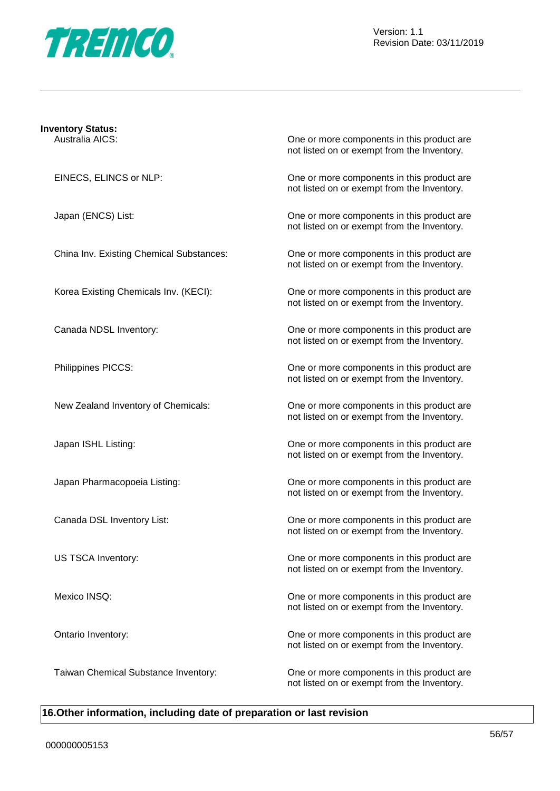

| <b>Inventory Status:</b><br>Australia AICS: | One or more components in this product are<br>not listed on or exempt from the Inventory. |
|---------------------------------------------|-------------------------------------------------------------------------------------------|
| EINECS, ELINCS or NLP:                      | One or more components in this product are<br>not listed on or exempt from the Inventory. |
| Japan (ENCS) List:                          | One or more components in this product are<br>not listed on or exempt from the Inventory. |
| China Inv. Existing Chemical Substances:    | One or more components in this product are<br>not listed on or exempt from the Inventory. |
| Korea Existing Chemicals Inv. (KECI):       | One or more components in this product are<br>not listed on or exempt from the Inventory. |
| Canada NDSL Inventory:                      | One or more components in this product are<br>not listed on or exempt from the Inventory. |
| Philippines PICCS:                          | One or more components in this product are<br>not listed on or exempt from the Inventory. |
| New Zealand Inventory of Chemicals:         | One or more components in this product are<br>not listed on or exempt from the Inventory. |
| Japan ISHL Listing:                         | One or more components in this product are<br>not listed on or exempt from the Inventory. |
| Japan Pharmacopoeia Listing:                | One or more components in this product are<br>not listed on or exempt from the Inventory. |
| Canada DSL Inventory List:                  | One or more components in this product are<br>not listed on or exempt from the Inventory. |
| US TSCA Inventory:                          | One or more components in this product are<br>not listed on or exempt from the Inventory. |
| Mexico INSQ:                                | One or more components in this product are<br>not listed on or exempt from the Inventory. |
| Ontario Inventory:                          | One or more components in this product are<br>not listed on or exempt from the Inventory. |
| Taiwan Chemical Substance Inventory:        | One or more components in this product are<br>not listed on or exempt from the Inventory. |

## **16.Other information, including date of preparation or last revision**